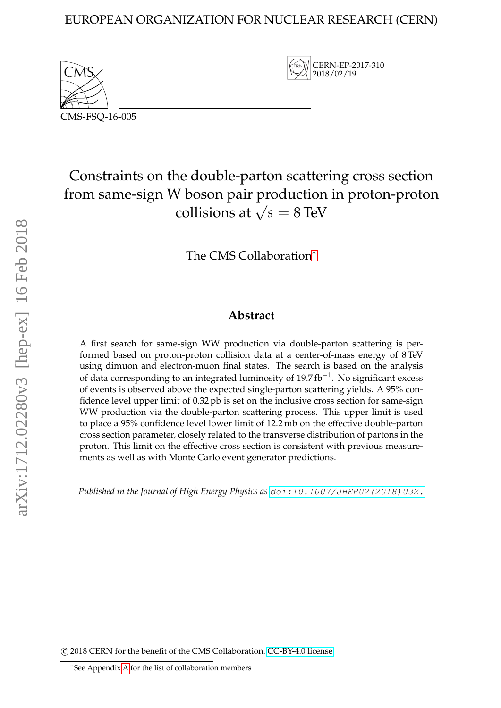# EUROPEAN ORGANIZATION FOR NUCLEAR RESEARCH (CERN)





# Constraints on the double-parton scattering cross section from same-sign W boson pair production in proton-proton  $\alpha$  boson pair production<br>collisions at  $\sqrt{s} = 8$  TeV

The CMS Collaboration[∗](#page-0-0)

# **Abstract**

A first search for same-sign WW production via double-parton scattering is performed based on proton-proton collision data at a center-of-mass energy of 8 TeV using dimuon and electron-muon final states. The search is based on the analysis of data corresponding to an integrated luminosity of 19.7 fb<sup>-1</sup>. No significant excess of events is observed above the expected single-parton scattering yields. A 95% confidence level upper limit of 0.32 pb is set on the inclusive cross section for same-sign WW production via the double-parton scattering process. This upper limit is used to place a 95% confidence level lower limit of 12.2 mb on the effective double-parton cross section parameter, closely related to the transverse distribution of partons in the proton. This limit on the effective cross section is consistent with previous measurements as well as with Monte Carlo event generator predictions.

*Published in the Journal of High Energy Physics as* [doi:10.1007/JHEP02\(2018\)032.](http://dx.doi.org/10.1007/JHEP02(2018)032)

c 2018 CERN for the benefit of the CMS Collaboration. [CC-BY-4.0 license](http://creativecommons.org/licenses/by/4.0)

<span id="page-0-0"></span><sup>∗</sup>See Appendix [A](#page-20-0) for the list of collaboration members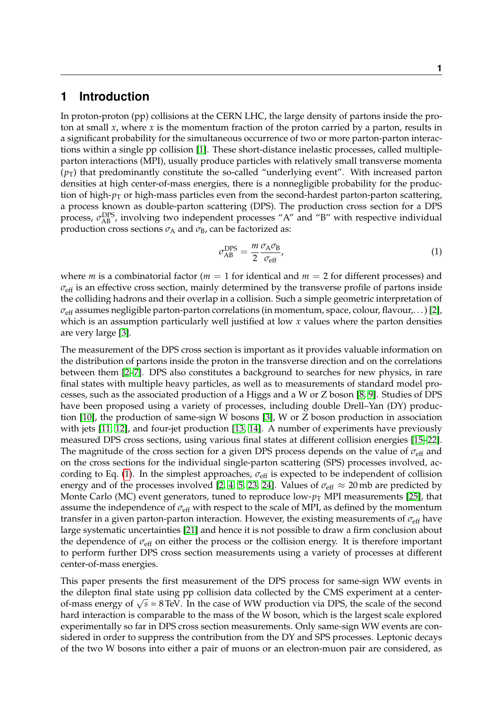# **1 Introduction**

In proton-proton (pp) collisions at the CERN LHC, the large density of partons inside the proton at small *x*, where *x* is the momentum fraction of the proton carried by a parton, results in a significant probability for the simultaneous occurrence of two or more parton-parton interactions within a single pp collision [\[1\]](#page-14-0). These short-distance inelastic processes, called multipleparton interactions (MPI), usually produce particles with relatively small transverse momenta  $(p_T)$  that predominantly constitute the so-called "underlying event". With increased parton densities at high center-of-mass energies, there is a nonnegligible probability for the production of high- $p<sub>T</sub>$  or high-mass particles even from the second-hardest parton-parton scattering, a process known as double-parton scattering (DPS). The production cross section for a DPS process,  $\sigma_{AB}^{DPS}$ , involving two independent processes "A" and "B" with respective individual production cross sections  $\sigma_A$  and  $\sigma_B$ , can be factorized as:

<span id="page-2-0"></span>
$$
\sigma_{AB}^{DPS} = \frac{m}{2} \frac{\sigma_A \sigma_B}{\sigma_{\text{eff}}},\tag{1}
$$

where *m* is a combinatorial factor ( $m = 1$  for identical and  $m = 2$  for different processes) and *σ*eff is an effective cross section, mainly determined by the transverse profile of partons inside the colliding hadrons and their overlap in a collision. Such a simple geometric interpretation of  $\sigma_{\rm eff}$  assumes negligible parton-parton correlations (in momentum, space, colour, flavour,...) [\[2\]](#page-14-1), which is an assumption particularly well justified at low *x* values where the parton densities are very large [\[3\]](#page-14-2).

The measurement of the DPS cross section is important as it provides valuable information on the distribution of partons inside the proton in the transverse direction and on the correlations between them [\[2](#page-14-1)[–7\]](#page-15-0). DPS also constitutes a background to searches for new physics, in rare final states with multiple heavy particles, as well as to measurements of standard model processes, such as the associated production of a Higgs and a W or Z boson [\[8,](#page-15-1) [9\]](#page-15-2). Studies of DPS have been proposed using a variety of processes, including double Drell–Yan (DY) production [\[10\]](#page-15-3), the production of same-sign W bosons [\[3\]](#page-14-2), W or Z boson production in association with jets [\[11,](#page-15-4) [12\]](#page-15-5), and four-jet production [\[13,](#page-15-6) [14\]](#page-15-7). A number of experiments have previously measured DPS cross sections, using various final states at different collision energies [\[15](#page-15-8)[–22\]](#page-16-0). The magnitude of the cross section for a given DPS process depends on the value of  $\sigma_{\rm eff}$  and on the cross sections for the individual single-parton scattering (SPS) processes involved, ac-cording to Eq. [\(1\)](#page-2-0). In the simplest approaches,  $\sigma_{\text{eff}}$  is expected to be independent of collision energy and of the processes involved [\[2,](#page-14-1) [4,](#page-14-3) [5,](#page-15-9) [23,](#page-16-1) [24\]](#page-16-2). Values of  $\sigma_{\text{eff}} \approx 20 \text{ mb}$  are predicted by Monte Carlo (MC) event generators, tuned to reproduce low- $p<sub>T</sub>$  MPI measurements [\[25\]](#page-16-3), that assume the independence of  $\sigma_{\rm eff}$  with respect to the scale of MPI, as defined by the momentum transfer in a given parton-parton interaction. However, the existing measurements of *σ*<sub>eff</sub> have large systematic uncertainties [\[21\]](#page-16-4) and hence it is not possible to draw a firm conclusion about the dependence of  $\sigma_{\rm eff}$  on either the process or the collision energy. It is therefore important to perform further DPS cross section measurements using a variety of processes at different center-of-mass energies.

This paper presents the first measurement of the DPS process for same-sign WW events in the dilepton final state using pp collision data collected by the CMS experiment at a centerof-mass energy of <sup>√</sup> *s* = 8 TeV. In the case of WW production via DPS, the scale of the second hard interaction is comparable to the mass of the W boson, which is the largest scale explored experimentally so far in DPS cross section measurements. Only same-sign WW events are considered in order to suppress the contribution from the DY and SPS processes. Leptonic decays of the two W bosons into either a pair of muons or an electron-muon pair are considered, as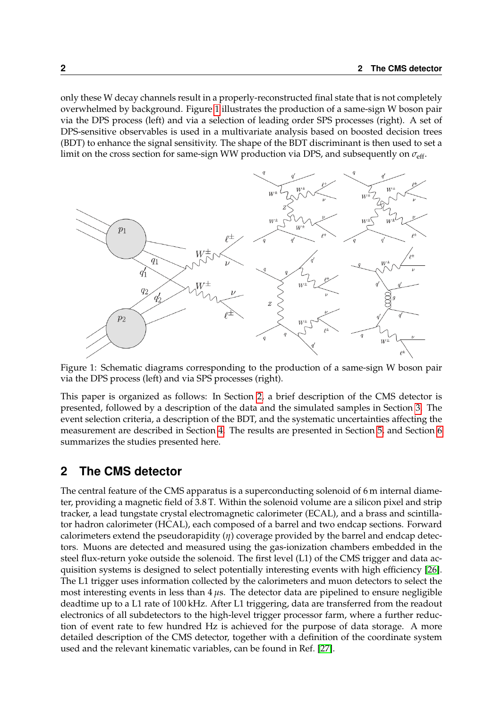only these W decay channels result in a properly-reconstructed final state that is not completely overwhelmed by background. Figure [1](#page-3-0) illustrates the production of a same-sign W boson pair via the DPS process (left) and via a selection of leading order SPS processes (right). A set of DPS-sensitive observables is used in a multivariate analysis based on boosted decision trees (BDT) to enhance the signal sensitivity. The shape of the BDT discriminant is then used to set a limit on the cross section for same-sign WW production via DPS, and subsequently on *σ*<sub>eff</sub>.

<span id="page-3-0"></span>

Figure 1: Schematic diagrams corresponding to the production of a same-sign W boson pair via the DPS process (left) and via SPS processes (right).

This paper is organized as follows: In Section [2,](#page-3-1) a brief description of the CMS detector is presented, followed by a description of the data and the simulated samples in Section [3.](#page-4-0) The event selection criteria, a description of the BDT, and the systematic uncertainties affecting the measurement are described in Section [4.](#page-5-0) The results are presented in Section [5,](#page-11-0) and Section [6](#page-13-0) summarizes the studies presented here.

# <span id="page-3-1"></span>**2 The CMS detector**

The central feature of the CMS apparatus is a superconducting solenoid of 6 m internal diameter, providing a magnetic field of 3.8 T. Within the solenoid volume are a silicon pixel and strip tracker, a lead tungstate crystal electromagnetic calorimeter (ECAL), and a brass and scintillator hadron calorimeter (HCAL), each composed of a barrel and two endcap sections. Forward calorimeters extend the pseudorapidity (*η*) coverage provided by the barrel and endcap detectors. Muons are detected and measured using the gas-ionization chambers embedded in the steel flux-return yoke outside the solenoid. The first level (L1) of the CMS trigger and data acquisition systems is designed to select potentially interesting events with high efficiency [\[26\]](#page-16-5). The L1 trigger uses information collected by the calorimeters and muon detectors to select the most interesting events in less than 4 *µ*s. The detector data are pipelined to ensure negligible deadtime up to a L1 rate of 100 kHz. After L1 triggering, data are transferred from the readout electronics of all subdetectors to the high-level trigger processor farm, where a further reduction of event rate to few hundred Hz is achieved for the purpose of data storage. A more detailed description of the CMS detector, together with a definition of the coordinate system used and the relevant kinematic variables, can be found in Ref. [\[27\]](#page-16-6).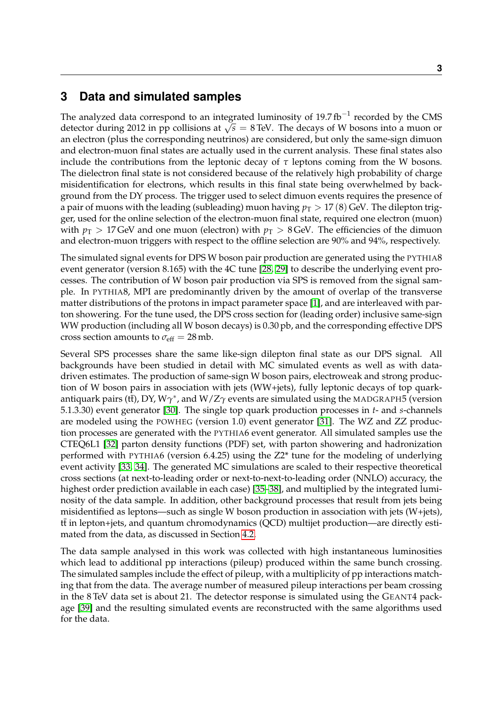# <span id="page-4-0"></span>**3 Data and simulated samples**

The analyzed data correspond to an integrated luminosity of 19.7 fb<sup>-1</sup> recorded by the CMS The analyzed data correspond to an imegrated funtifieshly of 19.7 to a fecorded by the CM3 detector during 2012 in pp collisions at  $\sqrt{s} = 8$  TeV. The decays of W bosons into a muon or an electron (plus the corresponding neutrinos) are considered, but only the same-sign dimuon and electron-muon final states are actually used in the current analysis. These final states also include the contributions from the leptonic decay of  $\tau$  leptons coming from the W bosons. The dielectron final state is not considered because of the relatively high probability of charge misidentification for electrons, which results in this final state being overwhelmed by background from the DY process. The trigger used to select dimuon events requires the presence of a pair of muons with the leading (subleading) muon having  $p_T > 17(8)$  GeV. The dilepton trigger, used for the online selection of the electron-muon final state, required one electron (muon) with  $p_T > 17$  GeV and one muon (electron) with  $p_T > 8$  GeV. The efficiencies of the dimuon and electron-muon triggers with respect to the offline selection are 90% and 94%, respectively.

The simulated signal events for DPS W boson pair production are generated using the PYTHIA8 event generator (version 8.165) with the 4C tune [\[28,](#page-16-7) [29\]](#page-16-8) to describe the underlying event processes. The contribution of W boson pair production via SPS is removed from the signal sample. In PYTHIA8, MPI are predominantly driven by the amount of overlap of the transverse matter distributions of the protons in impact parameter space [\[1\]](#page-14-0), and are interleaved with parton showering. For the tune used, the DPS cross section for (leading order) inclusive same-sign WW production (including all W boson decays) is 0.30 pb, and the corresponding effective DPS cross section amounts to  $\sigma_{\text{eff}} = 28 \text{ mb}$ .

Several SPS processes share the same like-sign dilepton final state as our DPS signal. All backgrounds have been studied in detail with MC simulated events as well as with datadriven estimates. The production of same-sign W boson pairs, electroweak and strong production of W boson pairs in association with jets (WW+jets), fully leptonic decays of top quarkantiquark pairs (tt), DY, W $\gamma^*$ , and W/Z $\gamma$  events are simulated using the <code>MADGRAPH5</code> (version 5.1.3.30) event generator [\[30\]](#page-16-9). The single top quark production processes in *t*- and *s*-channels are modeled using the POWHEG (version 1.0) event generator [\[31\]](#page-16-10). The WZ and ZZ production processes are generated with the PYTHIA6 event generator. All simulated samples use the CTEQ6L1 [\[32\]](#page-16-11) parton density functions (PDF) set, with parton showering and hadronization performed with PYTHIA6 (version 6.4.25) using the Z2\* tune for the modeling of underlying event activity [\[33,](#page-16-12) [34\]](#page-16-13). The generated MC simulations are scaled to their respective theoretical cross sections (at next-to-leading order or next-to-next-to-leading order (NNLO) accuracy, the highest order prediction available in each case) [\[35–](#page-17-0)[38\]](#page-17-1), and multiplied by the integrated luminosity of the data sample. In addition, other background processes that result from jets being misidentified as leptons—such as single W boson production in association with jets (W+jets),  $t\bar{t}$  in lepton+jets, and quantum chromodynamics (QCD) multijet production—are directly estimated from the data, as discussed in Section [4.2.](#page-6-0)

The data sample analysed in this work was collected with high instantaneous luminosities which lead to additional pp interactions (pileup) produced within the same bunch crossing. The simulated samples include the effect of pileup, with a multiplicity of pp interactions matching that from the data. The average number of measured pileup interactions per beam crossing in the 8 TeV data set is about 21. The detector response is simulated using the GEANT4 package [\[39\]](#page-17-2) and the resulting simulated events are reconstructed with the same algorithms used for the data.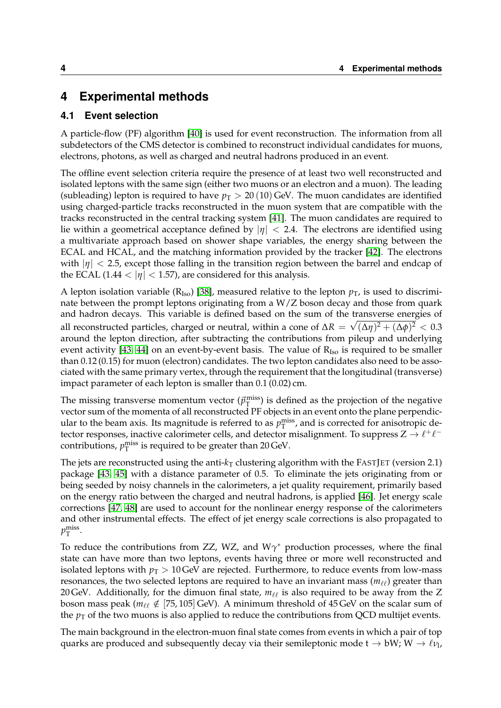# <span id="page-5-0"></span>**4 Experimental methods**

# <span id="page-5-1"></span>**4.1 Event selection**

A particle-flow (PF) algorithm [\[40\]](#page-17-3) is used for event reconstruction. The information from all subdetectors of the CMS detector is combined to reconstruct individual candidates for muons, electrons, photons, as well as charged and neutral hadrons produced in an event.

The offline event selection criteria require the presence of at least two well reconstructed and isolated leptons with the same sign (either two muons or an electron and a muon). The leading (subleading) lepton is required to have  $p_T > 20 (10)$  GeV. The muon candidates are identified using charged-particle tracks reconstructed in the muon system that are compatible with the tracks reconstructed in the central tracking system [\[41\]](#page-17-4). The muon candidates are required to lie within a geometrical acceptance defined by  $|\eta|$  < 2.4. The electrons are identified using a multivariate approach based on shower shape variables, the energy sharing between the ECAL and HCAL, and the matching information provided by the tracker [\[42\]](#page-17-5). The electrons with  $|\eta|$  < 2.5, except those falling in the transition region between the barrel and endcap of the ECAL (1.44  $<$   $|\eta|$   $<$  1.57), are considered for this analysis.

A lepton isolation variable ( $R_{Iso}$ ) [\[38\]](#page-17-1), measured relative to the lepton  $p<sub>T</sub>$ , is used to discriminate between the prompt leptons originating from a W/Z boson decay and those from quark and hadron decays. This variable is defined based on the sum of the transverse energies of all reconstructed particles, charged or neutral, within a cone of  $\Delta R = \sqrt{(\Delta \eta)^2 + (\Delta \phi)^2} < 0.3$ around the lepton direction, after subtracting the contributions from pileup and underlying event activity [\[43,](#page-17-6) [44\]](#page-17-7) on an event-by-event basis. The value of  $R_{Iso}$  is required to be smaller than 0.12 (0.15) for muon (electron) candidates. The two lepton candidates also need to be associated with the same primary vertex, through the requirement that the longitudinal (transverse) impact parameter of each lepton is smaller than 0.1 (0.02) cm.

The missing transverse momentum vector  $(\vec{p}_T^{\text{miss}})$  is defined as the projection of the negative vector sum of the momenta of all reconstructed PF objects in an event onto the plane perpendicular to the beam axis. Its magnitude is referred to as  $p_T^{\text{miss}}$ , and is corrected for anisotropic detector responses, inactive calorimeter cells, and detector misalignment. To suppress  $Z \rightarrow \ell^+ \ell^$ contributions,  $p_T^{\text{miss}}$  is required to be greater than 20 GeV.

The jets are reconstructed using the anti- $k<sub>T</sub>$  clustering algorithm with the FASTJET (version 2.1) package [\[43,](#page-17-6) [45\]](#page-17-8) with a distance parameter of 0.5. To eliminate the jets originating from or being seeded by noisy channels in the calorimeters, a jet quality requirement, primarily based on the energy ratio between the charged and neutral hadrons, is applied [\[46\]](#page-17-9). Jet energy scale corrections [\[47,](#page-17-10) [48\]](#page-17-11) are used to account for the nonlinear energy response of the calorimeters and other instrumental effects. The effect of jet energy scale corrections is also propagated to  $p_{\rm T}^{\rm miss}$ .

To reduce the contributions from ZZ, WZ, and  $W\gamma^*$  production processes, where the final state can have more than two leptons, events having three or more well reconstructed and isolated leptons with  $p<sub>T</sub> > 10$  GeV are rejected. Furthermore, to reduce events from low-mass resonances, the two selected leptons are required to have an invariant mass  $(m_{\ell}\ell)$  greater than 20 GeV. Additionally, for the dimuon final state,  $m_{\ell\ell}$  is also required to be away from the Z boson mass peak ( $m_{\ell\ell} \notin [75, 105]$  GeV). A minimum threshold of 45 GeV on the scalar sum of the  $p<sub>T</sub>$  of the two muons is also applied to reduce the contributions from QCD multijet events.

The main background in the electron-muon final state comes from events in which a pair of top quarks are produced and subsequently decay via their semileptonic mode  $t \to bW$ ;  $W \to \ell \nu_l$ ,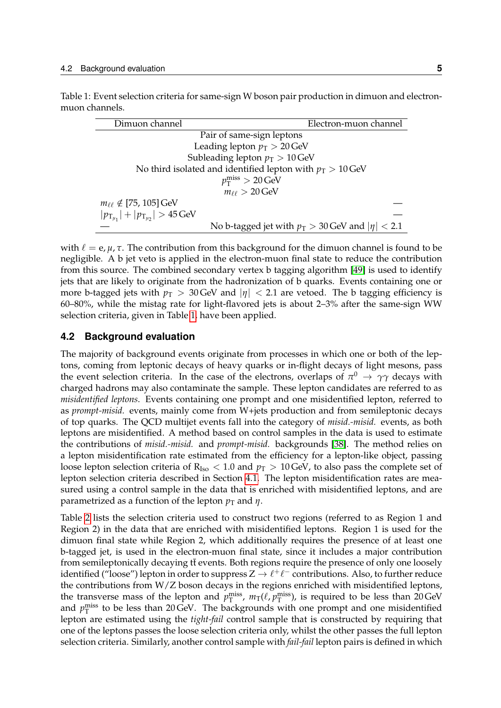<span id="page-6-1"></span>Table 1: Event selection criteria for same-sign W boson pair production in dimuon and electronmuon channels.

| Dimuon channel                                                        | Electron-muon channel                                  |  |  |  |
|-----------------------------------------------------------------------|--------------------------------------------------------|--|--|--|
| Pair of same-sign leptons                                             |                                                        |  |  |  |
| Leading lepton $p_T > 20$ GeV                                         |                                                        |  |  |  |
| Subleading lepton $p_T > 10$ GeV                                      |                                                        |  |  |  |
| No third isolated and identified lepton with $p_T > 10$ GeV           |                                                        |  |  |  |
| $p_T^{\text{miss}} > 20 \,\text{GeV}$                                 |                                                        |  |  |  |
| $m_{\ell\ell} > 20 \,\text{GeV}$                                      |                                                        |  |  |  |
| $m_{\ell\ell} \notin [75, 105] \,\text{GeV}$                          |                                                        |  |  |  |
| $ p_{\mathrm{T}_{u_1}}  +  p_{\mathrm{T}_{u_2}}  > 45 \,\mathrm{GeV}$ |                                                        |  |  |  |
|                                                                       | No b-tagged jet with $p_T > 30$ GeV and $ \eta  < 2.1$ |  |  |  |

with  $\ell = e, \mu, \tau$ . The contribution from this background for the dimuon channel is found to be negligible. A b jet veto is applied in the electron-muon final state to reduce the contribution from this source. The combined secondary vertex b tagging algorithm [\[49\]](#page-17-12) is used to identify jets that are likely to originate from the hadronization of b quarks. Events containing one or more b-tagged jets with  $p_T > 30$  GeV and  $|\eta| < 2.1$  are vetoed. The b tagging efficiency is 60–80%, while the mistag rate for light-flavored jets is about 2–3% after the same-sign WW selection criteria, given in Table [1,](#page-6-1) have been applied.

#### <span id="page-6-0"></span>**4.2 Background evaluation**

The majority of background events originate from processes in which one or both of the leptons, coming from leptonic decays of heavy quarks or in-flight decays of light mesons, pass the event selection criteria. In the case of the electrons, overlaps of  $\pi^0\,\rightarrow\,\gamma\gamma$  decays with charged hadrons may also contaminate the sample. These lepton candidates are referred to as *misidentified leptons*. Events containing one prompt and one misidentified lepton, referred to as *prompt-misid.* events, mainly come from W+jets production and from semileptonic decays of top quarks. The QCD multijet events fall into the category of *misid.-misid.* events, as both leptons are misidentified. A method based on control samples in the data is used to estimate the contributions of *misid.-misid.* and *prompt-misid.* backgrounds [\[38\]](#page-17-1). The method relies on a lepton misidentification rate estimated from the efficiency for a lepton-like object, passing loose lepton selection criteria of  $R_{Iso} < 1.0$  and  $p_T > 10$  GeV, to also pass the complete set of lepton selection criteria described in Section [4.1.](#page-5-1) The lepton misidentification rates are measured using a control sample in the data that is enriched with misidentified leptons, and are parametrized as a function of the lepton  $p_T$  and  $\eta$ .

Table [2](#page-7-0) lists the selection criteria used to construct two regions (referred to as Region 1 and Region 2) in the data that are enriched with misidentified leptons. Region 1 is used for the dimuon final state while Region 2, which additionally requires the presence of at least one b-tagged jet, is used in the electron-muon final state, since it includes a major contribution from semileptonically decaying  $t\bar{t}$  events. Both regions require the presence of only one loosely identified ("loose") lepton in order to suppress  $Z \to \ell^+ \ell^-$  contributions. Also, to further reduce the contributions from W/Z boson decays in the regions enriched with misidentified leptons, the transverse mass of the lepton and  $p_T^{\text{miss}}$ ,  $m_T(\ell, p_T^{\text{miss}})$ , is required to be less than 20 GeV and  $p_T^{\text{miss}}$  to be less than 20 GeV. The backgrounds with one prompt and one misidentified lepton are estimated using the *tight-fail* control sample that is constructed by requiring that one of the leptons passes the loose selection criteria only, whilst the other passes the full lepton selection criteria. Similarly, another control sample with *fail-fail* lepton pairs is defined in which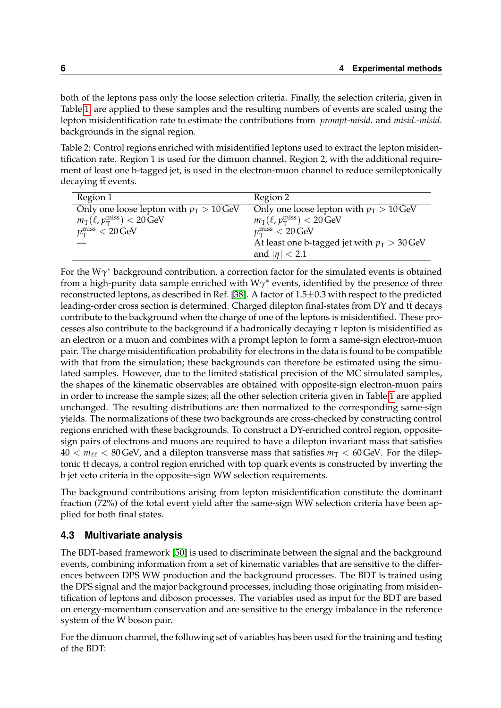both of the leptons pass only the loose selection criteria. Finally, the selection criteria, given in Table [1,](#page-6-1) are applied to these samples and the resulting numbers of events are scaled using the lepton misidentification rate to estimate the contributions from *prompt-misid.* and *misid.-misid.* backgrounds in the signal region.

<span id="page-7-0"></span>Table 2: Control regions enriched with misidentified leptons used to extract the lepton misidentification rate. Region 1 is used for the dimuon channel. Region 2, with the additional requirement of least one b-tagged jet, is used in the electron-muon channel to reduce semileptonically decaying tt events.

| Region 1                                                  | Region 2                                                  |
|-----------------------------------------------------------|-----------------------------------------------------------|
| Only one loose lepton with $p_T > 10$ GeV                 | Only one loose lepton with $p_T > 10$ GeV                 |
| $m_{\rm T}(\ell, p_{\rm T}^{\rm miss}) < 20 \,\text{GeV}$ | $m_{\rm T}(\ell, p_{\rm T}^{\rm miss}) < 20 \,\text{GeV}$ |
| $p_T^{\text{miss}} < 20 \,\text{GeV}$                     | $p_T^{\text{miss}} < 20 \,\text{GeV}$                     |
|                                                           | At least one b-tagged jet with $p_T > 30$ GeV             |
|                                                           | and $ \eta $ < 2.1                                        |

For the W*γ* <sup>∗</sup> background contribution, a correction factor for the simulated events is obtained from a high-purity data sample enriched with  $W\gamma^*$  events, identified by the presence of three reconstructed leptons, as described in Ref. [\[38\]](#page-17-1). A factor of 1.5±0.3 with respect to the predicted leading-order cross section is determined. Charged dilepton final-states from DY and tt decays contribute to the background when the charge of one of the leptons is misidentified. These processes also contribute to the background if a hadronically decaying *τ* lepton is misidentified as an electron or a muon and combines with a prompt lepton to form a same-sign electron-muon pair. The charge misidentification probability for electrons in the data is found to be compatible with that from the simulation; these backgrounds can therefore be estimated using the simulated samples. However, due to the limited statistical precision of the MC simulated samples, the shapes of the kinematic observables are obtained with opposite-sign electron-muon pairs in order to increase the sample sizes; all the other selection criteria given in Table [1](#page-6-1) are applied unchanged. The resulting distributions are then normalized to the corresponding same-sign yields. The normalizations of these two backgrounds are cross-checked by constructing control regions enriched with these backgrounds. To construct a DY-enriched control region, oppositesign pairs of electrons and muons are required to have a dilepton invariant mass that satisfies  $40 < m_{\ell\ell} < 80$  GeV, and a dilepton transverse mass that satisfies  $m<sub>T</sub> < 60$  GeV. For the dileptonic  $t\bar{t}$  decays, a control region enriched with top quark events is constructed by inverting the b jet veto criteria in the opposite-sign WW selection requirements.

The background contributions arising from lepton misidentification constitute the dominant fraction (72%) of the total event yield after the same-sign WW selection criteria have been applied for both final states.

# **4.3 Multivariate analysis**

The BDT-based framework [\[50\]](#page-18-0) is used to discriminate between the signal and the background events, combining information from a set of kinematic variables that are sensitive to the differences between DPS WW production and the background processes. The BDT is trained using the DPS signal and the major background processes, including those originating from misidentification of leptons and diboson processes. The variables used as input for the BDT are based on energy-momentum conservation and are sensitive to the energy imbalance in the reference system of the W boson pair.

For the dimuon channel, the following set of variables has been used for the training and testing of the BDT: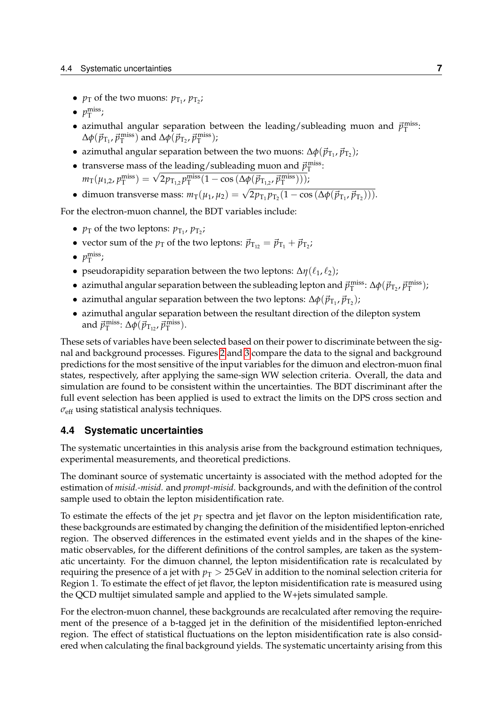- $p_{\text{T}}$  of the two muons:  $p_{\text{T}_1}, p_{\text{T}_2}$ ;
- $\bullet$   $p_T^{\text{miss}}$ ;
- azimuthal angular separation between the leading/subleading muon and  $\vec{p}_{\text{T}}^{\text{miss}}$ .  $\Delta\phi(\vec{p}_{\text{T}_1}, \vec{p}_{\text{T}}^{\text{miss}})$  and  $\Delta\phi(\vec{p}_{\text{T}_2}, \vec{p}_{\text{T}}^{\text{miss}})$ ;
- azimuthal angular separation between the two muons:  $\Delta \phi(\vec{p}_{T_1}, \vec{p}_{T_2})$ ;
- transverse mass of the leading/subleading muon and  $\vec{p}_{\text{T}}^{\text{miss}}$ .  $m_{\text{T}}(\mu_{1,2}, p_{\text{T}}^{\text{miss}}) = \sqrt{2p_{\text{T}_{1,2}}p_{\text{T}}^{\text{miss}}(1-\cos{(\Delta\phi(\vec{p}_{\text{T}_{1,2}}, \vec{p}_{\text{T}}^{\text{miss}}))})};$
- dimuon transverse mass:  $m_T(\mu_1, \mu_2) = \sqrt{2p_{T_1}p_{T_2}(1 \cos(\Delta\phi(\vec{p}_{T_1}, \vec{p}_{T_2})))}.$

For the electron-muon channel, the BDT variables include:

- $p_{\text{T}}$  of the two leptons:  $p_{\text{T}_1}, p_{\text{T}_2}$ ;
- vector sum of the  $p_T$  of the two leptons:  $\vec{p}_{T_{12}} = \vec{p}_{T_1} + \vec{p}_{T_2}$ ;
- $\bullet$   $p_T^{\text{miss}}$ ;
- pseudorapidity separation between the two leptons:  $\Delta \eta(\ell_1, \ell_2)$ ;
- azimuthal angular separation between the subleading lepton and  $\vec{p}_T^{\text{miss}}$ :  $\Delta\phi(\vec{p}_{T_2}, \vec{p}_T^{\text{miss}})$ ;
- azimuthal angular separation between the two leptons:  $\Delta \phi(\vec{p}_{T_1}, \vec{p}_{T_2})$ ;
- azimuthal angular separation between the resultant direction of the dilepton system and  $\vec{p}_{\text{T}}^{\text{miss}}$ :  $\Delta \phi(\vec{p}_{\text{T}_{12}}, \vec{p}_{\text{T}}^{\text{miss}})$ .

These sets of variables have been selected based on their power to discriminate between the signal and background processes. Figures [2](#page-9-0) and [3](#page-10-0) compare the data to the signal and background predictions for the most sensitive of the input variables for the dimuon and electron-muon final states, respectively, after applying the same-sign WW selection criteria. Overall, the data and simulation are found to be consistent within the uncertainties. The BDT discriminant after the full event selection has been applied is used to extract the limits on the DPS cross section and  $\sigma_{\text{eff}}$  using statistical analysis techniques.

# **4.4 Systematic uncertainties**

The systematic uncertainties in this analysis arise from the background estimation techniques, experimental measurements, and theoretical predictions.

The dominant source of systematic uncertainty is associated with the method adopted for the estimation of *misid.-misid.* and *prompt-misid.* backgrounds, and with the definition of the control sample used to obtain the lepton misidentification rate.

To estimate the effects of the jet  $p<sub>T</sub>$  spectra and jet flavor on the lepton misidentification rate, these backgrounds are estimated by changing the definition of the misidentified lepton-enriched region. The observed differences in the estimated event yields and in the shapes of the kinematic observables, for the different definitions of the control samples, are taken as the systematic uncertainty. For the dimuon channel, the lepton misidentification rate is recalculated by requiring the presence of a jet with  $p<sub>T</sub> > 25$  GeV in addition to the nominal selection criteria for Region 1. To estimate the effect of jet flavor, the lepton misidentification rate is measured using the QCD multijet simulated sample and applied to the W+jets simulated sample.

For the electron-muon channel, these backgrounds are recalculated after removing the requirement of the presence of a b-tagged jet in the definition of the misidentified lepton-enriched region. The effect of statistical fluctuations on the lepton misidentification rate is also considered when calculating the final background yields. The systematic uncertainty arising from this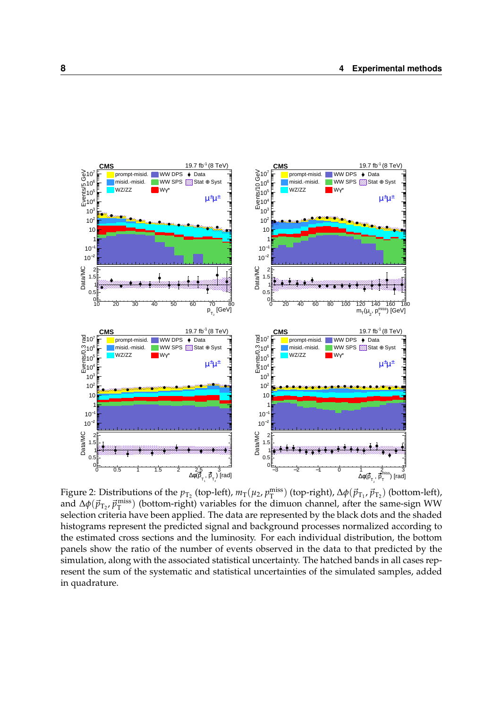<span id="page-9-0"></span>

Figure 2: Distributions of the  $p_{T_2}$  (top-left),  $m_T(\mu_2, p_T^{\text{miss}})$  (top-right),  $\Delta \phi(\vec{p}_{T_1}, \vec{p}_{T_2})$  (bottom-left), and  $\Delta\phi(\vec{p}_{T_2}, \vec{p}_T^{\text{miss}})$  (bottom-right) variables for the dimuon channel, after the same-sign WW selection criteria have been applied. The data are represented by the black dots and the shaded histograms represent the predicted signal and background processes normalized according to the estimated cross sections and the luminosity. For each individual distribution, the bottom panels show the ratio of the number of events observed in the data to that predicted by the simulation, along with the associated statistical uncertainty. The hatched bands in all cases represent the sum of the systematic and statistical uncertainties of the simulated samples, added in quadrature.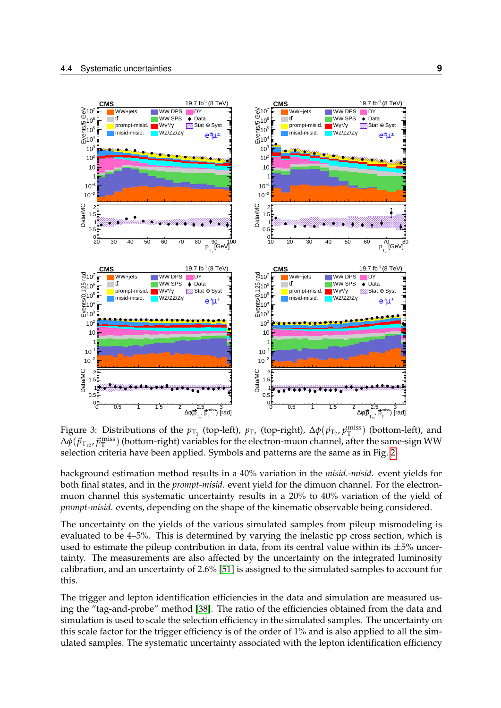<span id="page-10-0"></span>

Figure 3: Distributions of the  $p_{T_1}$  (top-left),  $p_{T_2}$  (top-right),  $\Delta \phi(\vec{p}_{T_2}, \vec{p}_T^{\text{miss}})$  (bottom-left), and  $\Delta\phi(\vec{p}_{\rm T_{12}},\vec{p}_{\rm T}^{\rm miss})$  (bottom-right) variables for the electron-muon channel, after the same-sign WW selection criteria have been applied. Symbols and patterns are the same as in Fig. [2.](#page-9-0)

background estimation method results in a 40% variation in the *misid.-misid.* event yields for both final states, and in the *prompt-misid.* event yield for the dimuon channel. For the electronmuon channel this systematic uncertainty results in a 20% to 40% variation of the yield of *prompt-misid.* events, depending on the shape of the kinematic observable being considered.

The uncertainty on the yields of the various simulated samples from pileup mismodeling is evaluated to be 4–5%. This is determined by varying the inelastic pp cross section, which is used to estimate the pileup contribution in data, from its central value within its  $\pm 5\%$  uncertainty. The measurements are also affected by the uncertainty on the integrated luminosity calibration, and an uncertainty of 2.6% [\[51\]](#page-18-1) is assigned to the simulated samples to account for this.

The trigger and lepton identification efficiencies in the data and simulation are measured using the "tag-and-probe" method [\[38\]](#page-17-1). The ratio of the efficiencies obtained from the data and simulation is used to scale the selection efficiency in the simulated samples. The uncertainty on this scale factor for the trigger efficiency is of the order of 1% and is also applied to all the simulated samples. The systematic uncertainty associated with the lepton identification efficiency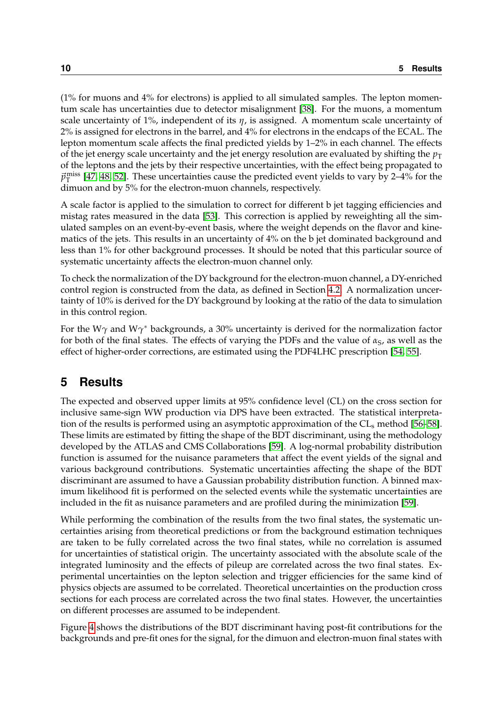(1% for muons and 4% for electrons) is applied to all simulated samples. The lepton momentum scale has uncertainties due to detector misalignment [\[38\]](#page-17-1). For the muons, a momentum scale uncertainty of 1%, independent of its  $\eta$ , is assigned. A momentum scale uncertainty of 2% is assigned for electrons in the barrel, and 4% for electrons in the endcaps of the ECAL. The lepton momentum scale affects the final predicted yields by 1–2% in each channel. The effects of the jet energy scale uncertainty and the jet energy resolution are evaluated by shifting the  $p_T$ of the leptons and the jets by their respective uncertainties, with the effect being propagated to  $\vec{p}_{\rm T}^{\rm miss}$  [\[47,](#page-17-10) [48,](#page-17-11) [52\]](#page-18-2). These uncertainties cause the predicted event yields to vary by 2–4% for the dimuon and by 5% for the electron-muon channels, respectively.

A scale factor is applied to the simulation to correct for different b jet tagging efficiencies and mistag rates measured in the data [\[53\]](#page-18-3). This correction is applied by reweighting all the simulated samples on an event-by-event basis, where the weight depends on the flavor and kinematics of the jets. This results in an uncertainty of 4% on the b jet dominated background and less than 1% for other background processes. It should be noted that this particular source of systematic uncertainty affects the electron-muon channel only.

To check the normalization of the DY background for the electron-muon channel, a DY-enriched control region is constructed from the data, as defined in Section [4.2.](#page-6-0) A normalization uncertainty of 10% is derived for the DY background by looking at the ratio of the data to simulation in this control region.

For the W*γ* and W*γ* <sup>∗</sup> backgrounds, a 30% uncertainty is derived for the normalization factor for both of the final states. The effects of varying the PDFs and the value of *α*<sub>S</sub>, as well as the effect of higher-order corrections, are estimated using the PDF4LHC prescription [\[54,](#page-18-4) [55\]](#page-18-5).

# <span id="page-11-0"></span>**5 Results**

The expected and observed upper limits at 95% confidence level (CL) on the cross section for inclusive same-sign WW production via DPS have been extracted. The statistical interpreta-tion of the results is performed using an asymptotic approximation of the CL<sub>s</sub> method [\[56](#page-18-6)[–58\]](#page-18-7). These limits are estimated by fitting the shape of the BDT discriminant, using the methodology developed by the ATLAS and CMS Collaborations [\[59\]](#page-18-8). A log-normal probability distribution function is assumed for the nuisance parameters that affect the event yields of the signal and various background contributions. Systematic uncertainties affecting the shape of the BDT discriminant are assumed to have a Gaussian probability distribution function. A binned maximum likelihood fit is performed on the selected events while the systematic uncertainties are included in the fit as nuisance parameters and are profiled during the minimization [\[59\]](#page-18-8).

While performing the combination of the results from the two final states, the systematic uncertainties arising from theoretical predictions or from the background estimation techniques are taken to be fully correlated across the two final states, while no correlation is assumed for uncertainties of statistical origin. The uncertainty associated with the absolute scale of the integrated luminosity and the effects of pileup are correlated across the two final states. Experimental uncertainties on the lepton selection and trigger efficiencies for the same kind of physics objects are assumed to be correlated. Theoretical uncertainties on the production cross sections for each process are correlated across the two final states. However, the uncertainties on different processes are assumed to be independent.

Figure [4](#page-12-0) shows the distributions of the BDT discriminant having post-fit contributions for the backgrounds and pre-fit ones for the signal, for the dimuon and electron-muon final states with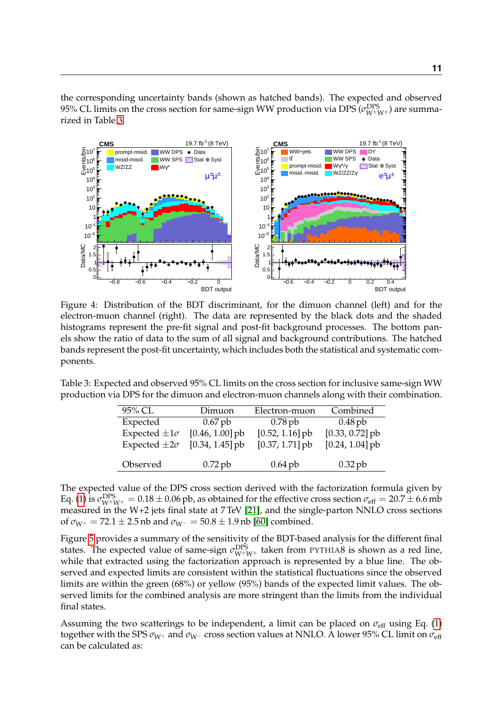the corresponding uncertainty bands (shown as hatched bands). The expected and observed 95% CL limits on the cross section for same-sign WW production via DPS ( $\sigma_{W^{\pm}W^{\pm}}^{\text{DPS}}$ ) are summarized in Table [3.](#page-12-1)

<span id="page-12-0"></span>

Figure 4: Distribution of the BDT discriminant, for the dimuon channel (left) and for the electron-muon channel (right). The data are represented by the black dots and the shaded histograms represent the pre-fit signal and post-fit background processes. The bottom panels show the ratio of data to the sum of all signal and background contributions. The hatched bands represent the post-fit uncertainty, which includes both the statistical and systematic components.

<span id="page-12-1"></span>Table 3: Expected and observed 95% CL limits on the cross section for inclusive same-sign WW production via DPS for the dimuon and electron-muon channels along with their combination.

| 95% CL                 | Dimuon            | Electron-muon     | Combined          |
|------------------------|-------------------|-------------------|-------------------|
| Expected               | $0.67$ pb         | $0.78$ pb         | $0.48$ pb         |
| Expected $\pm 1\sigma$ | $[0.46, 1.00]$ pb | $[0.52, 1.16]$ pb | $[0.33, 0.72]$ pb |
| Expected $\pm 2\sigma$ | $[0.34, 1.45]$ pb | $[0.37, 1.71]$ pb | $[0.24, 1.04]$ pb |
| Observed               | $0.72$ pb         | $0.64$ pb         | $0.32$ pb         |

The expected value of the DPS cross section derived with the factorization formula given by Eq. [\(1\)](#page-2-0) is  $\sigma_{W^\pm W^\pm}^{\rm DPS} = 0.18\pm0.06$  pb, as obtained for the effective cross section  $\sigma_{\rm eff} = 20.7\pm6.6$  mb measured in the W+2 jets final state at 7 TeV [\[21\]](#page-16-4), and the single-parton NNLO cross sections of  $\sigma_{W^+} = 72.1 \pm 2.5$  nb and  $\sigma_{W^-} = 50.8 \pm 1.9$  nb [\[60\]](#page-18-9) combined.

Figure [5](#page-13-1) provides a summary of the sensitivity of the BDT-based analysis for the different final states. The expected value of same-sign  $\sigma_{W^{\pm}W^{\pm}}^{DPS}$  taken from PYTHIA8 is shown as a red line, while that extracted using the factorization approach is represented by a blue line. The observed and expected limits are consistent within the statistical fluctuations since the observed limits are within the green (68%) or yellow (95%) bands of the expected limit values. The observed limits for the combined analysis are more stringent than the limits from the individual final states.

Assuming the two scatterings to be independent, a limit can be placed on  $\sigma_{\rm eff}$  using Eq. [\(1\)](#page-2-0) together with the SPS  $\sigma_{W^+}$  and  $\sigma_{W^-}$  cross section values at NNLO. A lower 95% CL limit on  $\sigma_{eff}$ can be calculated as: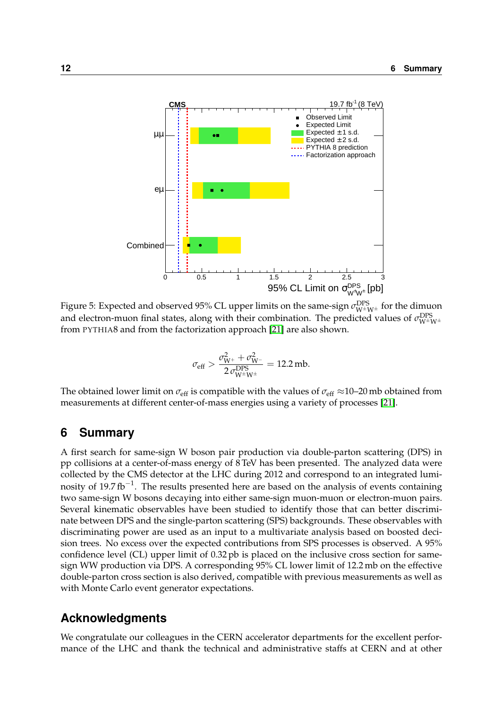<span id="page-13-1"></span>

Figure 5: Expected and observed 95% CL upper limits on the same-sign  $\sigma_{W^{\pm}W^{\pm}}^{DPS}$  for the dimuon and electron-muon final states, along with their combination. The predicted values of  $\sigma_{W^{\pm}W^{\pm}}^{DPS}$ from PYTHIA8 and from the factorization approach [\[21\]](#page-16-4) are also shown.

$$
\sigma_{\text{eff}} > \frac{\sigma_{\text{W}^+}^2 + \sigma_{\text{W}^-}^2}{2 \sigma_{\text{W}^{\pm} \text{W}^{\pm}}^{\text{DPS}}} = 12.2 \,\text{mb}.
$$

The obtained lower limit on  $\sigma_{\text{eff}}$  is compatible with the values of  $\sigma_{\text{eff}} \approx 10$ –20 mb obtained from measurements at different center-of-mass energies using a variety of processes [\[21\]](#page-16-4).

# <span id="page-13-0"></span>**6 Summary**

A first search for same-sign W boson pair production via double-parton scattering (DPS) in pp collisions at a center-of-mass energy of 8 TeV has been presented. The analyzed data were collected by the CMS detector at the LHC during 2012 and correspond to an integrated luminosity of 19.7 fb<sup>-1</sup>. The results presented here are based on the analysis of events containing two same-sign W bosons decaying into either same-sign muon-muon or electron-muon pairs. Several kinematic observables have been studied to identify those that can better discriminate between DPS and the single-parton scattering (SPS) backgrounds. These observables with discriminating power are used as an input to a multivariate analysis based on boosted decision trees. No excess over the expected contributions from SPS processes is observed. A 95% confidence level (CL) upper limit of 0.32 pb is placed on the inclusive cross section for samesign WW production via DPS. A corresponding 95% CL lower limit of 12.2 mb on the effective double-parton cross section is also derived, compatible with previous measurements as well as with Monte Carlo event generator expectations.

# **Acknowledgments**

We congratulate our colleagues in the CERN accelerator departments for the excellent performance of the LHC and thank the technical and administrative staffs at CERN and at other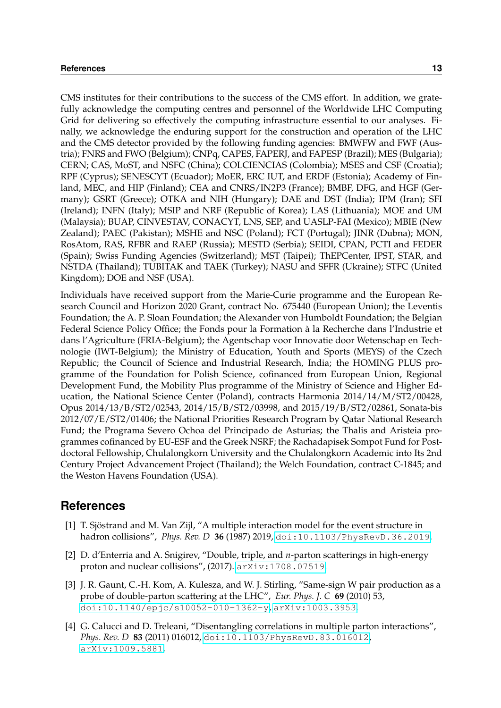CMS institutes for their contributions to the success of the CMS effort. In addition, we gratefully acknowledge the computing centres and personnel of the Worldwide LHC Computing Grid for delivering so effectively the computing infrastructure essential to our analyses. Finally, we acknowledge the enduring support for the construction and operation of the LHC and the CMS detector provided by the following funding agencies: BMWFW and FWF (Austria); FNRS and FWO (Belgium); CNPq, CAPES, FAPERJ, and FAPESP (Brazil); MES (Bulgaria); CERN; CAS, MoST, and NSFC (China); COLCIENCIAS (Colombia); MSES and CSF (Croatia); RPF (Cyprus); SENESCYT (Ecuador); MoER, ERC IUT, and ERDF (Estonia); Academy of Finland, MEC, and HIP (Finland); CEA and CNRS/IN2P3 (France); BMBF, DFG, and HGF (Germany); GSRT (Greece); OTKA and NIH (Hungary); DAE and DST (India); IPM (Iran); SFI (Ireland); INFN (Italy); MSIP and NRF (Republic of Korea); LAS (Lithuania); MOE and UM (Malaysia); BUAP, CINVESTAV, CONACYT, LNS, SEP, and UASLP-FAI (Mexico); MBIE (New Zealand); PAEC (Pakistan); MSHE and NSC (Poland); FCT (Portugal); JINR (Dubna); MON, RosAtom, RAS, RFBR and RAEP (Russia); MESTD (Serbia); SEIDI, CPAN, PCTI and FEDER (Spain); Swiss Funding Agencies (Switzerland); MST (Taipei); ThEPCenter, IPST, STAR, and NSTDA (Thailand); TUBITAK and TAEK (Turkey); NASU and SFFR (Ukraine); STFC (United Kingdom); DOE and NSF (USA).

Individuals have received support from the Marie-Curie programme and the European Research Council and Horizon 2020 Grant, contract No. 675440 (European Union); the Leventis Foundation; the A. P. Sloan Foundation; the Alexander von Humboldt Foundation; the Belgian Federal Science Policy Office; the Fonds pour la Formation à la Recherche dans l'Industrie et dans l'Agriculture (FRIA-Belgium); the Agentschap voor Innovatie door Wetenschap en Technologie (IWT-Belgium); the Ministry of Education, Youth and Sports (MEYS) of the Czech Republic; the Council of Science and Industrial Research, India; the HOMING PLUS programme of the Foundation for Polish Science, cofinanced from European Union, Regional Development Fund, the Mobility Plus programme of the Ministry of Science and Higher Education, the National Science Center (Poland), contracts Harmonia 2014/14/M/ST2/00428, Opus 2014/13/B/ST2/02543, 2014/15/B/ST2/03998, and 2015/19/B/ST2/02861, Sonata-bis 2012/07/E/ST2/01406; the National Priorities Research Program by Qatar National Research Fund; the Programa Severo Ochoa del Principado de Asturias; the Thalis and Aristeia programmes cofinanced by EU-ESF and the Greek NSRF; the Rachadapisek Sompot Fund for Postdoctoral Fellowship, Chulalongkorn University and the Chulalongkorn Academic into Its 2nd Century Project Advancement Project (Thailand); the Welch Foundation, contract C-1845; and the Weston Havens Foundation (USA).

# **References**

- <span id="page-14-0"></span>[1] T. Sjöstrand and M. Van Zijl, "A multiple interaction model for the event structure in hadron collisions", *Phys. Rev. D* **36** (1987) 2019, [doi:10.1103/PhysRevD.36.2019](http://dx.doi.org/10.1103/PhysRevD.36.2019).
- <span id="page-14-1"></span>[2] D. d'Enterria and A. Snigirev, "Double, triple, and *n*-parton scatterings in high-energy proton and nuclear collisions", (2017). [arXiv:1708.07519](http://www.arXiv.org/abs/1708.07519).
- <span id="page-14-2"></span>[3] J. R. Gaunt, C.-H. Kom, A. Kulesza, and W. J. Stirling, "Same-sign W pair production as a probe of double-parton scattering at the LHC", *Eur. Phys. J. C* **69** (2010) 53, [doi:10.1140/epjc/s10052-010-1362-y](http://dx.doi.org/10.1140/epjc/s10052-010-1362-y), [arXiv:1003.3953](http://www.arXiv.org/abs/1003.3953).
- <span id="page-14-3"></span>[4] G. Calucci and D. Treleani, "Disentangling correlations in multiple parton interactions", *Phys. Rev. D* **83** (2011) 016012, [doi:10.1103/PhysRevD.83.016012](http://dx.doi.org/10.1103/PhysRevD.83.016012), [arXiv:1009.5881](http://www.arXiv.org/abs/1009.5881).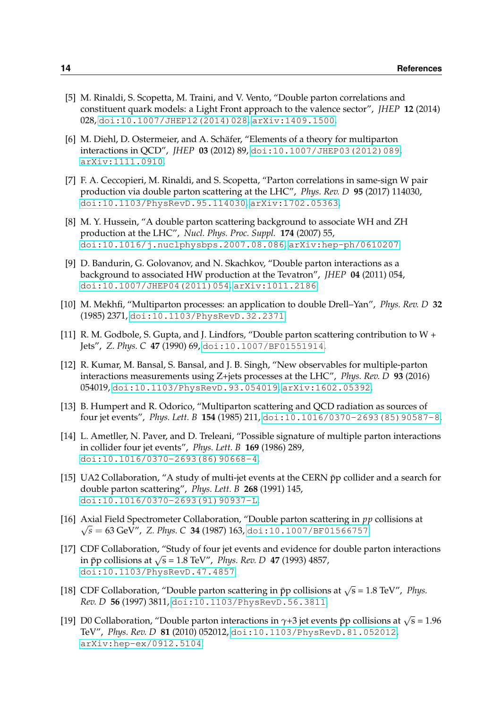- <span id="page-15-9"></span>[5] M. Rinaldi, S. Scopetta, M. Traini, and V. Vento, "Double parton correlations and constituent quark models: a Light Front approach to the valence sector", *JHEP* **12** (2014) 028, [doi:10.1007/JHEP12\(2014\)028](http://dx.doi.org/10.1007/JHEP12(2014)028), [arXiv:1409.1500](http://www.arXiv.org/abs/1409.1500).
- [6] M. Diehl, D. Ostermeier, and A. Schäfer, "Elements of a theory for multiparton interactions in QCD", *JHEP* **03** (2012) 89, [doi:10.1007/JHEP03\(2012\)089](http://dx.doi.org/10.1007/JHEP03(2012)089), [arXiv:1111.0910](http://www.arXiv.org/abs/1111.0910).
- <span id="page-15-0"></span>[7] F. A. Ceccopieri, M. Rinaldi, and S. Scopetta, "Parton correlations in same-sign W pair production via double parton scattering at the LHC", *Phys. Rev. D* **95** (2017) 114030, [doi:10.1103/PhysRevD.95.114030](http://dx.doi.org/10.1103/PhysRevD.95.114030), [arXiv:1702.05363](http://www.arXiv.org/abs/1702.05363).
- <span id="page-15-1"></span>[8] M. Y. Hussein, "A double parton scattering background to associate WH and ZH production at the LHC", *Nucl. Phys. Proc. Suppl.* **174** (2007) 55, [doi:10.1016/j.nuclphysbps.2007.08.086](http://dx.doi.org/10.1016/j.nuclphysbps.2007.08.086), [arXiv:hep-ph/0610207](http://www.arXiv.org/abs/hep-ph/0610207).
- <span id="page-15-2"></span>[9] D. Bandurin, G. Golovanov, and N. Skachkov, "Double parton interactions as a background to associated HW production at the Tevatron", *JHEP* **04** (2011) 054, [doi:10.1007/JHEP04\(2011\)054](http://dx.doi.org/10.1007/JHEP04(2011)054), [arXiv:1011.2186](http://www.arXiv.org/abs/1011.2186).
- <span id="page-15-3"></span>[10] M. Mekhfi, "Multiparton processes: an application to double Drell–Yan", *Phys. Rev. D* **32** (1985) 2371, [doi:10.1103/PhysRevD.32.2371](http://dx.doi.org/10.1103/PhysRevD.32.2371).
- <span id="page-15-4"></span>[11] R. M. Godbole, S. Gupta, and J. Lindfors, "Double parton scattering contribution to W + Jets", *Z. Phys. C* **47** (1990) 69, [doi:10.1007/BF01551914](http://dx.doi.org/10.1007/BF01551914).
- <span id="page-15-5"></span>[12] R. Kumar, M. Bansal, S. Bansal, and J. B. Singh, "New observables for multiple-parton interactions measurements using Z+jets processes at the LHC", *Phys. Rev. D* **93** (2016) 054019, [doi:10.1103/PhysRevD.93.054019](http://dx.doi.org/10.1103/PhysRevD.93.054019), [arXiv:1602.05392](http://www.arXiv.org/abs/1602.05392).
- <span id="page-15-6"></span>[13] B. Humpert and R. Odorico, "Multiparton scattering and QCD radiation as sources of four jet events", *Phys. Lett. B* **154** (1985) 211, [doi:10.1016/0370-2693\(85\)90587-8](http://dx.doi.org/10.1016/0370-2693(85)90587-8).
- <span id="page-15-7"></span>[14] L. Ametller, N. Paver, and D. Treleani, "Possible signature of multiple parton interactions in collider four jet events", *Phys. Lett. B* **169** (1986) 289, [doi:10.1016/0370-2693\(86\)90668-4](http://dx.doi.org/10.1016/0370-2693(86)90668-4).
- <span id="page-15-8"></span>[15] UA2 Collaboration, "A study of multi-jet events at the CERN pp collider and a search for double parton scattering", *Phys. Lett. B* **268** (1991) 145, [doi:10.1016/0370-2693\(91\)90937-L](http://dx.doi.org/10.1016/0370-2693(91)90937-L).
- [16] Axial Field Spectrometer Collaboration, "Double parton scattering in *pp* collisions at √  $\sqrt{s} = 63$  GeV", *Z. Phys.* C **34** (1987) 163, [doi:10.1007/BF01566757](http://dx.doi.org/10.1007/BF01566757).
- [17] CDF Collaboration, "Study of four jet events and evidence for double parton interactions √ in  $\bar{p}$ p collisions at  $\sqrt{s} = 1.8$  TeV", *Phys. Rev. D* **47** (1993) 4857, [doi:10.1103/PhysRevD.47.4857](http://dx.doi.org/10.1103/PhysRevD.47.4857).
- [18] CDF Collaboration, "Double parton scattering in  $\bar{p}p$  collisions at √ s = 1.8 TeV", *Phys. Rev. D* **56** (1997) 3811, [doi:10.1103/PhysRevD.56.3811](http://dx.doi.org/10.1103/PhysRevD.56.3811).
- [19] D0 Collaboration, "Double parton interactions in  $\gamma$ +3 jet events  $\bar{p}p$  collisions at √  $s = 1.96$ TeV", *Phys. Rev. D* **81** (2010) 052012, [doi:10.1103/PhysRevD.81.052012](http://dx.doi.org/10.1103/PhysRevD.81.052012), [arXiv:hep-ex/0912.5104](http://www.arXiv.org/abs/hep-ex/0912.5104).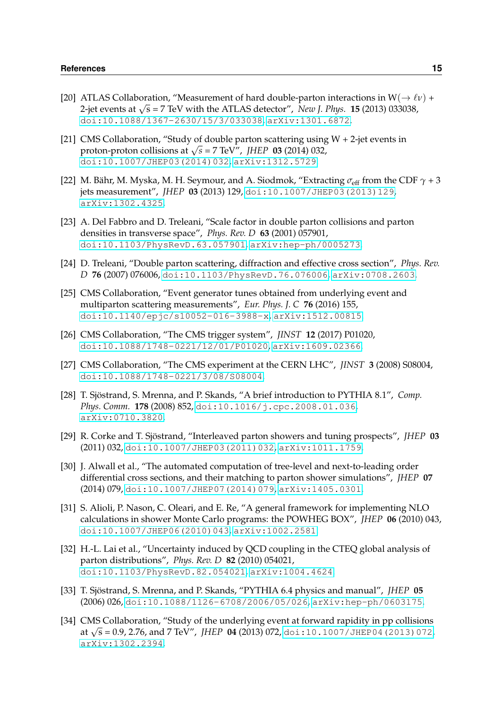- [20] ATLAS Collaboration, "Measurement of hard double-parton interactions in  $W(\rightarrow \ell \nu)$  + ATLAS Conaboration, weasurement of hard double-parton interactions in  $w \rightarrow \ell$ <br>2-jet events at  $\sqrt{s}$  = 7 TeV with the ATLAS detector", *New J. Phys.* **15** (2013) 033038, [doi:10.1088/1367-2630/15/3/033038](http://dx.doi.org/10.1088/1367-2630/15/3/033038), [arXiv:1301.6872](http://www.arXiv.org/abs/1301.6872).
- <span id="page-16-4"></span>[21] CMS Collaboration, "Study of double parton scattering using  $W + 2$ -jet events in proton-proton collisions at <sup>√</sup> *s* = 7 TeV", *JHEP* **03** (2014) 032, [doi:10.1007/JHEP03\(2014\)032](http://dx.doi.org/10.1007/JHEP03(2014)032), [arXiv:1312.5729](http://www.arXiv.org/abs/1312.5729).
- <span id="page-16-0"></span>[22] M. Bähr, M. Myska, M. H. Seymour, and A. Siodmok, "Extracting  $\sigma_{\rm eff}$  from the CDF  $\gamma$  + 3 jets measurement", *JHEP* **03** (2013) 129, [doi:10.1007/JHEP03\(2013\)129](http://dx.doi.org/10.1007/JHEP03(2013)129), [arXiv:1302.4325](http://www.arXiv.org/abs/1302.4325).
- <span id="page-16-1"></span>[23] A. Del Fabbro and D. Treleani, "Scale factor in double parton collisions and parton densities in transverse space", *Phys. Rev. D* **63** (2001) 057901, [doi:10.1103/PhysRevD.63.057901](http://dx.doi.org/10.1103/PhysRevD.63.057901), [arXiv:hep-ph/0005273](http://www.arXiv.org/abs/hep-ph/0005273).
- <span id="page-16-2"></span>[24] D. Treleani, "Double parton scattering, diffraction and effective cross section", *Phys. Rev. D* **76** (2007) 076006, [doi:10.1103/PhysRevD.76.076006](http://dx.doi.org/10.1103/PhysRevD.76.076006), [arXiv:0708.2603](http://www.arXiv.org/abs/0708.2603).
- <span id="page-16-3"></span>[25] CMS Collaboration, "Event generator tunes obtained from underlying event and multiparton scattering measurements", *Eur. Phys. J. C* **76** (2016) 155, [doi:10.1140/epjc/s10052-016-3988-x](http://dx.doi.org/10.1140/epjc/s10052-016-3988-x), [arXiv:1512.00815](http://www.arXiv.org/abs/1512.00815).
- <span id="page-16-5"></span>[26] CMS Collaboration, "The CMS trigger system", *JINST* **12** (2017) P01020, [doi:10.1088/1748-0221/12/01/P01020](http://dx.doi.org/10.1088/1748-0221/12/01/P01020), [arXiv:1609.02366](http://www.arXiv.org/abs/1609.02366).
- <span id="page-16-6"></span>[27] CMS Collaboration, "The CMS experiment at the CERN LHC", *JINST* **3** (2008) S08004, [doi:10.1088/1748-0221/3/08/S08004](http://dx.doi.org/10.1088/1748-0221/3/08/S08004).
- <span id="page-16-7"></span>[28] T. Sjöstrand, S. Mrenna, and P. Skands, "A brief introduction to PYTHIA 8.1", *Comp*. *Phys. Comm.* **178** (2008) 852, [doi:10.1016/j.cpc.2008.01.036](http://dx.doi.org/10.1016/j.cpc.2008.01.036), [arXiv:0710.3820](http://www.arXiv.org/abs/0710.3820).
- <span id="page-16-8"></span>[29] R. Corke and T. Sjöstrand, "Interleaved parton showers and tuning prospects", *JHEP* 03 (2011) 032, [doi:10.1007/JHEP03\(2011\)032](http://dx.doi.org/10.1007/JHEP03(2011)032), [arXiv:1011.1759](http://www.arXiv.org/abs/1011.1759).
- <span id="page-16-9"></span>[30] J. Alwall et al., "The automated computation of tree-level and next-to-leading order differential cross sections, and their matching to parton shower simulations", *JHEP* **07** (2014) 079, [doi:10.1007/JHEP07\(2014\)079](http://dx.doi.org/10.1007/JHEP07(2014)079), [arXiv:1405.0301](http://www.arXiv.org/abs/1405.0301).
- <span id="page-16-10"></span>[31] S. Alioli, P. Nason, C. Oleari, and E. Re, "A general framework for implementing NLO calculations in shower Monte Carlo programs: the POWHEG BOX", *JHEP* **06** (2010) 043, [doi:10.1007/JHEP06\(2010\)043](http://dx.doi.org/10.1007/JHEP06(2010)043), [arXiv:1002.2581](http://www.arXiv.org/abs/1002.2581).
- <span id="page-16-11"></span>[32] H.-L. Lai et al., "Uncertainty induced by QCD coupling in the CTEQ global analysis of parton distributions", *Phys. Rev. D* **82** (2010) 054021, [doi:10.1103/PhysRevD.82.054021](http://dx.doi.org/10.1103/PhysRevD.82.054021), [arXiv:1004.4624](http://www.arXiv.org/abs/1004.4624).
- <span id="page-16-12"></span>[33] T. Sjöstrand, S. Mrenna, and P. Skands, "PYTHIA 6.4 physics and manual", *JHEP* 05 (2006) 026, [doi:10.1088/1126-6708/2006/05/026](http://dx.doi.org/10.1088/1126-6708/2006/05/026), [arXiv:hep-ph/0603175](http://www.arXiv.org/abs/hep-ph/0603175).
- <span id="page-16-13"></span>[34] CMS Collaboration, "Study of the underlying event at forward rapidity in pp collisions CMS Conaboration, Study of the underlying event at forward rapidity in pp consions at  $\sqrt{s}$  = 0.9, 2.76, and 7 TeV", *JHEP* 04 (2013) 072, doi:10.1007/JHEP04 (2013)072, [arXiv:1302.2394](http://www.arXiv.org/abs/1302.2394).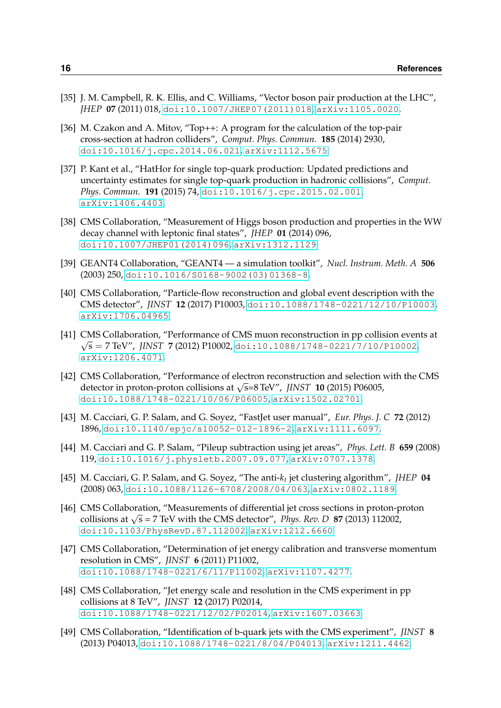- <span id="page-17-0"></span>[35] J. M. Campbell, R. K. Ellis, and C. Williams, "Vector boson pair production at the LHC", *JHEP* **07** (2011) 018, [doi:10.1007/JHEP07\(2011\)018](http://dx.doi.org/10.1007/JHEP07(2011)018), [arXiv:1105.0020](http://www.arXiv.org/abs/1105.0020).
- [36] M. Czakon and A. Mitov, "Top++: A program for the calculation of the top-pair cross-section at hadron colliders", *Comput. Phys. Commun.* **185** (2014) 2930, [doi:10.1016/j.cpc.2014.06.021](http://dx.doi.org/10.1016/j.cpc.2014.06.021), [arXiv:1112.5675](http://www.arXiv.org/abs/1112.5675).
- [37] P. Kant et al., "HatHor for single top-quark production: Updated predictions and uncertainty estimates for single top-quark production in hadronic collisions", *Comput. Phys. Commun.* **191** (2015) 74, [doi:10.1016/j.cpc.2015.02.001](http://dx.doi.org/10.1016/j.cpc.2015.02.001), [arXiv:1406.4403](http://www.arXiv.org/abs/1406.4403).
- <span id="page-17-1"></span>[38] CMS Collaboration, "Measurement of Higgs boson production and properties in the WW decay channel with leptonic final states", *JHEP* **01** (2014) 096, [doi:10.1007/JHEP01\(2014\)096](http://dx.doi.org/10.1007/JHEP01(2014)096), [arXiv:1312.1129](http://www.arXiv.org/abs/1312.1129).
- <span id="page-17-2"></span>[39] GEANT4 Collaboration, "GEANT4 — a simulation toolkit", *Nucl. Instrum. Meth. A* **506** (2003) 250, [doi:10.1016/S0168-9002\(03\)01368-8](http://dx.doi.org/10.1016/S0168-9002(03)01368-8).
- <span id="page-17-3"></span>[40] CMS Collaboration, "Particle-flow reconstruction and global event description with the CMS detector", *JINST* **12** (2017) P10003, [doi:10.1088/1748-0221/12/10/P10003](http://dx.doi.org/10.1088/1748-0221/12/10/P10003), [arXiv:1706.04965](http://www.arXiv.org/abs/1706.04965).
- <span id="page-17-4"></span>[41] CMS Collaboration, "Performance of CMS muon reconstruction in pp collision events at √  $\sqrt{s}$  = 7 TeV", *JINST* 7 (2012) P10002, [doi:10.1088/1748-0221/7/10/P10002](http://dx.doi.org/10.1088/1748-0221/7/10/P10002), [arXiv:1206.4071](http://www.arXiv.org/abs/1206.4071).
- <span id="page-17-5"></span>[42] CMS Collaboration, "Performance of electron reconstruction and selection with the CMS detector in proton-proton collisions at <sup>√</sup> s=8 TeV", *JINST* **10** (2015) P06005, [doi:10.1088/1748-0221/10/06/P06005](http://dx.doi.org/10.1088/1748-0221/10/06/P06005), [arXiv:1502.02701](http://www.arXiv.org/abs/1502.02701).
- <span id="page-17-6"></span>[43] M. Cacciari, G. P. Salam, and G. Soyez, "FastJet user manual", *Eur. Phys. J. C* **72** (2012) 1896, [doi:10.1140/epjc/s10052-012-1896-2](http://dx.doi.org/10.1140/epjc/s10052-012-1896-2), [arXiv:1111.6097](http://www.arXiv.org/abs/1111.6097).
- <span id="page-17-7"></span>[44] M. Cacciari and G. P. Salam, "Pileup subtraction using jet areas", *Phys. Lett. B* **659** (2008) 119, [doi:10.1016/j.physletb.2007.09.077](http://dx.doi.org/10.1016/j.physletb.2007.09.077), [arXiv:0707.1378](http://www.arXiv.org/abs/0707.1378).
- <span id="page-17-8"></span>[45] M. Cacciari, G. P. Salam, and G. Soyez, "The anti-*k<sup>t</sup>* jet clustering algorithm", *JHEP* **04** (2008) 063, [doi:10.1088/1126-6708/2008/04/063](http://dx.doi.org/10.1088/1126-6708/2008/04/063), [arXiv:0802.1189](http://www.arXiv.org/abs/0802.1189).
- <span id="page-17-9"></span>[46] CMS Collaboration, "Measurements of differential jet cross sections in proton-proton collisions at <sup>√</sup> s = 7 TeV with the CMS detector", *Phys. Rev. D* **87** (2013) 112002, [doi:10.1103/PhysRevD.87.112002](http://dx.doi.org/10.1103/PhysRevD.87.112002), [arXiv:1212.6660](http://www.arXiv.org/abs/1212.6660).
- <span id="page-17-10"></span>[47] CMS Collaboration, "Determination of jet energy calibration and transverse momentum resolution in CMS", *JINST* **6** (2011) P11002, [doi:10.1088/1748-0221/6/11/P11002](http://dx.doi.org/10.1088/1748-0221/6/11/P11002), [arXiv:1107.4277](http://www.arXiv.org/abs/1107.4277).
- <span id="page-17-11"></span>[48] CMS Collaboration, "Jet energy scale and resolution in the CMS experiment in pp collisions at 8 TeV", *JINST* **12** (2017) P02014, [doi:10.1088/1748-0221/12/02/P02014](http://dx.doi.org/10.1088/1748-0221/12/02/P02014), [arXiv:1607.03663](http://www.arXiv.org/abs/1607.03663).
- <span id="page-17-12"></span>[49] CMS Collaboration, "Identification of b-quark jets with the CMS experiment", *JINST* **8** (2013) P04013, [doi:10.1088/1748-0221/8/04/P04013](http://dx.doi.org/10.1088/1748-0221/8/04/P04013), [arXiv:1211.4462](http://www.arXiv.org/abs/1211.4462).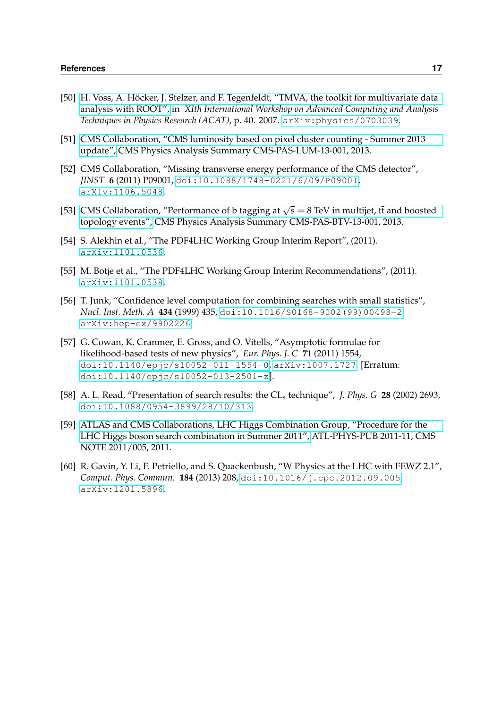- <span id="page-18-0"></span>[50] H. Voss, A. Höcker, J. Stelzer, and F. Tegenfeldt, "TMVA, the toolkit for multivariate data [analysis with ROOT",](http://pos.sissa.it/archive/conferences/050/040/ACAT_040.pdf) in *XIth International Workshop on Advanced Computing and Analysis Techniques in Physics Research (ACAT)*, p. 40. 2007. [arXiv:physics/0703039](http://www.arXiv.org/abs/physics/0703039).
- <span id="page-18-1"></span>[51] [CMS Collaboration, "CMS luminosity based on pixel cluster counting - Summer 2013](http://cdsweb.cern.ch/record/1598864) [update",](http://cdsweb.cern.ch/record/1598864) CMS Physics Analysis Summary CMS-PAS-LUM-13-001, 2013.
- <span id="page-18-2"></span>[52] CMS Collaboration, "Missing transverse energy performance of the CMS detector", *JINST* **6** (2011) P09001, [doi:10.1088/1748-0221/6/09/P09001](http://dx.doi.org/10.1088/1748-0221/6/09/P09001), [arXiv:1106.5048](http://www.arXiv.org/abs/1106.5048).
- <span id="page-18-3"></span>[53] [CMS Collaboration, "Performance of b tagging at](https://cds.cern.ch/record/1581306)  $\sqrt{s} = 8$  TeV in multijet, tt and boosted [topology events",](https://cds.cern.ch/record/1581306) CMS Physics Analysis Summary CMS-PAS-BTV-13-001, 2013.
- <span id="page-18-4"></span>[54] S. Alekhin et al., "The PDF4LHC Working Group Interim Report", (2011). [arXiv:1101.0536](http://www.arXiv.org/abs/1101.0536).
- <span id="page-18-5"></span>[55] M. Botje et al., "The PDF4LHC Working Group Interim Recommendations", (2011). [arXiv:1101.0538](http://www.arXiv.org/abs/1101.0538).
- <span id="page-18-6"></span>[56] T. Junk, "Confidence level computation for combining searches with small statistics", *Nucl. Inst. Meth. A* **434** (1999) 435, [doi:10.1016/S0168-9002\(99\)00498-2](http://dx.doi.org/10.1016/S0168-9002(99)00498-2), [arXiv:hep-ex/9902226](http://www.arXiv.org/abs/hep-ex/9902226).
- [57] G. Cowan, K. Cranmer, E. Gross, and O. Vitells, "Asymptotic formulae for likelihood-based tests of new physics", *Eur. Phys. J. C* **71** (2011) 1554, [doi:10.1140/epjc/s10052-011-1554-0](http://dx.doi.org/10.1140/epjc/s10052-011-1554-0), [arXiv:1007.1727](http://www.arXiv.org/abs/1007.1727). [Erratum: [doi:10.1140/epjc/s10052-013-2501-z](http://dx.doi.org/10.1140/epjc/s10052-013-2501-z)].
- <span id="page-18-7"></span>[58] A. L. Read, "Presentation of search results: the CL<sub>s</sub> technique", *J. Phys. G* 28 (2002) 2693, [doi:10.1088/0954-3899/28/10/313](http://dx.doi.org/10.1088/0954-3899/28/10/313).
- <span id="page-18-8"></span>[59] [ATLAS and CMS Collaborations, LHC Higgs Combination Group, "Procedure for the](http://cdsweb.cern.ch/record/1379837) [LHC Higgs boson search combination in Summer 2011",](http://cdsweb.cern.ch/record/1379837) ATL-PHYS-PUB 2011-11, CMS NOTE 2011/005, 2011.
- <span id="page-18-9"></span>[60] R. Gavin, Y. Li, F. Petriello, and S. Quackenbush, "W Physics at the LHC with FEWZ 2.1", *Comput. Phys. Commun.* **184** (2013) 208, [doi:10.1016/j.cpc.2012.09.005](http://dx.doi.org/10.1016/j.cpc.2012.09.005), [arXiv:1201.5896](http://www.arXiv.org/abs/1201.5896).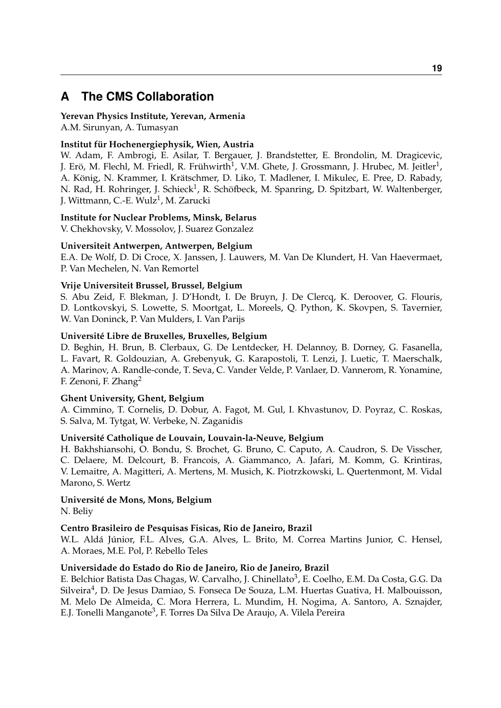# <span id="page-20-0"></span>**A The CMS Collaboration**

**Yerevan Physics Institute, Yerevan, Armenia** A.M. Sirunyan, A. Tumasyan

# **Institut für Hochenergiephysik, Wien, Austria**

W. Adam, F. Ambrogi, E. Asilar, T. Bergauer, J. Brandstetter, E. Brondolin, M. Dragicevic, J. Erö, M. Flechl, M. Friedl, R. Frühwirth $^1$ , V.M. Ghete, J. Grossmann, J. Hrubec, M. Jeitler $^1$ , A. König, N. Krammer, I. Krätschmer, D. Liko, T. Madlener, I. Mikulec, E. Pree, D. Rabady, N. Rad, H. Rohringer, J. Schieck<sup>1</sup>, R. Schöfbeck, M. Spanring, D. Spitzbart, W. Waltenberger, J. Wittmann*,* C.-E. Wulz<sup>1</sup>, M. Zarucki

#### **Institute for Nuclear Problems, Minsk, Belarus**

V. Chekhovsky, V. Mossolov, J. Suarez Gonzalez

# **Universiteit Antwerpen, Antwerpen, Belgium**

E.A. De Wolf, D. Di Croce, X. Janssen, J. Lauwers, M. Van De Klundert, H. Van Haevermaet, P. Van Mechelen, N. Van Remortel

# **Vrije Universiteit Brussel, Brussel, Belgium**

S. Abu Zeid, F. Blekman, J. D'Hondt, I. De Bruyn, J. De Clercq, K. Deroover, G. Flouris, D. Lontkovskyi, S. Lowette, S. Moortgat, L. Moreels, Q. Python, K. Skovpen, S. Tavernier, W. Van Doninck, P. Van Mulders, I. Van Parijs

### **Universit´e Libre de Bruxelles, Bruxelles, Belgium**

D. Beghin, H. Brun, B. Clerbaux, G. De Lentdecker, H. Delannoy, B. Dorney, G. Fasanella, L. Favart, R. Goldouzian, A. Grebenyuk, G. Karapostoli, T. Lenzi, J. Luetic, T. Maerschalk, A. Marinov, A. Randle-conde, T. Seva, C. Vander Velde, P. Vanlaer, D. Vannerom, R. Yonamine, F. Zenoni, F. Zhang<sup>2</sup>

#### **Ghent University, Ghent, Belgium**

A. Cimmino, T. Cornelis, D. Dobur, A. Fagot, M. Gul, I. Khvastunov, D. Poyraz, C. Roskas, S. Salva, M. Tytgat, W. Verbeke, N. Zaganidis

# **Universit´e Catholique de Louvain, Louvain-la-Neuve, Belgium**

H. Bakhshiansohi, O. Bondu, S. Brochet, G. Bruno, C. Caputo, A. Caudron, S. De Visscher, C. Delaere, M. Delcourt, B. Francois, A. Giammanco, A. Jafari, M. Komm, G. Krintiras, V. Lemaitre, A. Magitteri, A. Mertens, M. Musich, K. Piotrzkowski, L. Quertenmont, M. Vidal Marono, S. Wertz

#### **Universit´e de Mons, Mons, Belgium** N. Beliy

#### **Centro Brasileiro de Pesquisas Fisicas, Rio de Janeiro, Brazil**

W.L. Aldá Júnior, F.L. Alves, G.A. Alves, L. Brito, M. Correa Martins Junior, C. Hensel, A. Moraes, M.E. Pol, P. Rebello Teles

# **Universidade do Estado do Rio de Janeiro, Rio de Janeiro, Brazil**

E. Belchior Batista Das Chagas, W. Carvalho, J. Chinellato<sup>3</sup>, E. Coelho, E.M. Da Costa, G.G. Da Silveira<sup>4</sup>, D. De Jesus Damiao, S. Fonseca De Souza, L.M. Huertas Guativa, H. Malbouisson, M. Melo De Almeida, C. Mora Herrera, L. Mundim, H. Nogima, A. Santoro, A. Sznajder, E.J. Tonelli Manganote<sup>3</sup>, F. Torres Da Silva De Araujo, A. Vilela Pereira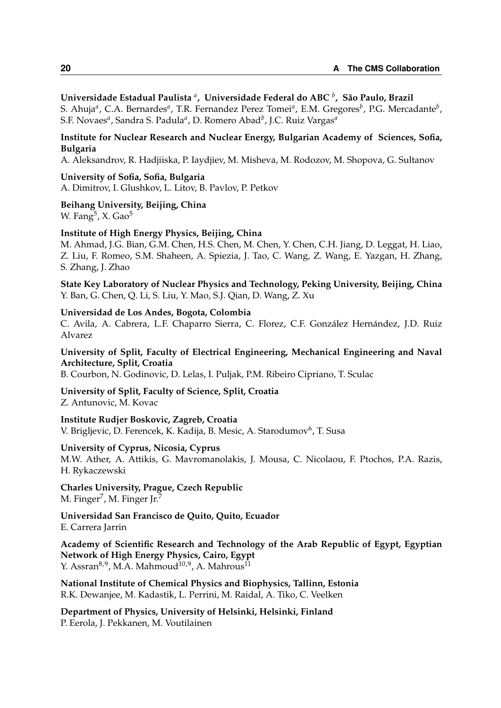# **Universidade Estadual Paulista** *<sup>a</sup>* **, Universidade Federal do ABC** *<sup>b</sup>* **, S ˜ao Paulo, Brazil**

S. Ahuja<sup>a</sup>, C.A. Bernardes<sup>a</sup>, T.R. Fernandez Perez Tomei<sup>a</sup>, E.M. Gregores<sup>b</sup>, P.G. Mercadante<sup>b</sup>, S.F. Novaes*<sup>a</sup>* , Sandra S. Padula*<sup>a</sup>* , D. Romero Abad*<sup>b</sup>* , J.C. Ruiz Vargas*<sup>a</sup>*

# **Institute for Nuclear Research and Nuclear Energy, Bulgarian Academy of Sciences, Sofia, Bulgaria**

A. Aleksandrov, R. Hadjiiska, P. Iaydjiev, M. Misheva, M. Rodozov, M. Shopova, G. Sultanov

### **University of Sofia, Sofia, Bulgaria**

A. Dimitrov, I. Glushkov, L. Litov, B. Pavlov, P. Petkov

# **Beihang University, Beijing, China** W. Fang<sup>5</sup>, X. Gao<sup>5</sup>

#### **Institute of High Energy Physics, Beijing, China**

M. Ahmad, J.G. Bian, G.M. Chen, H.S. Chen, M. Chen, Y. Chen, C.H. Jiang, D. Leggat, H. Liao, Z. Liu, F. Romeo, S.M. Shaheen, A. Spiezia, J. Tao, C. Wang, Z. Wang, E. Yazgan, H. Zhang, S. Zhang, J. Zhao

**State Key Laboratory of Nuclear Physics and Technology, Peking University, Beijing, China** Y. Ban, G. Chen, Q. Li, S. Liu, Y. Mao, S.J. Qian, D. Wang, Z. Xu

#### **Universidad de Los Andes, Bogota, Colombia**

C. Avila, A. Cabrera, L.F. Chaparro Sierra, C. Florez, C.F. González Hernández, J.D. Ruiz Alvarez

## **University of Split, Faculty of Electrical Engineering, Mechanical Engineering and Naval Architecture, Split, Croatia**

B. Courbon, N. Godinovic, D. Lelas, I. Puljak, P.M. Ribeiro Cipriano, T. Sculac

**University of Split, Faculty of Science, Split, Croatia** Z. Antunovic, M. Kovac

#### **Institute Rudjer Boskovic, Zagreb, Croatia**

V. Brigljevic, D. Ferencek, K. Kadija, B. Mesic, A. Starodumov<sup>6</sup>, T. Susa

#### **University of Cyprus, Nicosia, Cyprus**

M.W. Ather, A. Attikis, G. Mavromanolakis, J. Mousa, C. Nicolaou, F. Ptochos, P.A. Razis, H. Rykaczewski

**Charles University, Prague, Czech Republic** M. Finger<sup>7</sup>, M. Finger Jr.<sup>7</sup>

#### **Universidad San Francisco de Quito, Quito, Ecuador** E. Carrera Jarrin

**Academy of Scientific Research and Technology of the Arab Republic of Egypt, Egyptian Network of High Energy Physics, Cairo, Egypt** Y. Assran<sup>8,9</sup>, M.A. Mahmoud<sup>10,9</sup>, A. Mahrous<sup>11</sup>

**National Institute of Chemical Physics and Biophysics, Tallinn, Estonia** R.K. Dewanjee, M. Kadastik, L. Perrini, M. Raidal, A. Tiko, C. Veelken

**Department of Physics, University of Helsinki, Helsinki, Finland** P. Eerola, J. Pekkanen, M. Voutilainen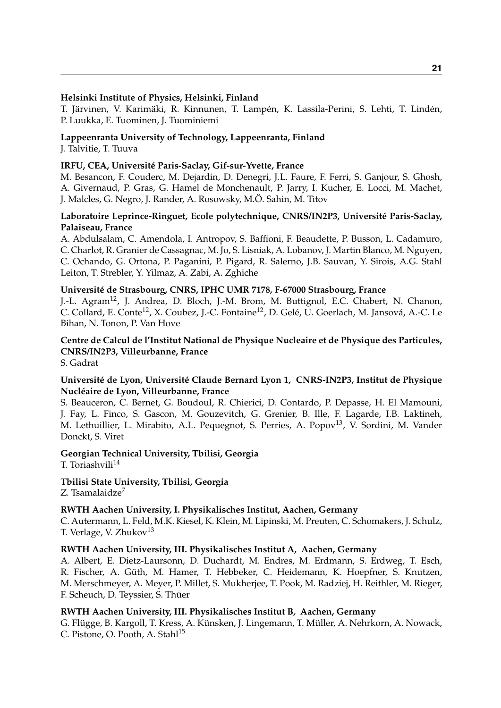#### **Helsinki Institute of Physics, Helsinki, Finland**

T. Järvinen, V. Karimäki, R. Kinnunen, T. Lampén, K. Lassila-Perini, S. Lehti, T. Lindén, P. Luukka, E. Tuominen, J. Tuominiemi

# **Lappeenranta University of Technology, Lappeenranta, Finland**

J. Talvitie, T. Tuuva

#### **IRFU, CEA, Université Paris-Saclay, Gif-sur-Yvette, France**

M. Besancon, F. Couderc, M. Dejardin, D. Denegri, J.L. Faure, F. Ferri, S. Ganjour, S. Ghosh, A. Givernaud, P. Gras, G. Hamel de Monchenault, P. Jarry, I. Kucher, E. Locci, M. Machet, J. Malcles, G. Negro, J. Rander, A. Rosowsky, M.O. Sahin, M. Titov ¨

# Laboratoire Leprince-Ringuet, Ecole polytechnique, CNRS/IN2P3, Université Paris-Saclay, **Palaiseau, France**

A. Abdulsalam, C. Amendola, I. Antropov, S. Baffioni, F. Beaudette, P. Busson, L. Cadamuro, C. Charlot, R. Granier de Cassagnac, M. Jo, S. Lisniak, A. Lobanov, J. Martin Blanco, M. Nguyen, C. Ochando, G. Ortona, P. Paganini, P. Pigard, R. Salerno, J.B. Sauvan, Y. Sirois, A.G. Stahl Leiton, T. Strebler, Y. Yilmaz, A. Zabi, A. Zghiche

### **Universit´e de Strasbourg, CNRS, IPHC UMR 7178, F-67000 Strasbourg, France**

J.-L. Agram12, J. Andrea, D. Bloch, J.-M. Brom, M. Buttignol, E.C. Chabert, N. Chanon, C. Collard, E. Conte<sup>12</sup>, X. Coubez, J.-C. Fontaine<sup>12</sup>, D. Gelé, U. Goerlach, M. Jansová, A.-C. Le Bihan, N. Tonon, P. Van Hove

# **Centre de Calcul de l'Institut National de Physique Nucleaire et de Physique des Particules, CNRS/IN2P3, Villeurbanne, France**

S. Gadrat

# **Université de Lyon, Université Claude Bernard Lyon 1, CNRS-IN2P3, Institut de Physique Nucl´eaire de Lyon, Villeurbanne, France**

S. Beauceron, C. Bernet, G. Boudoul, R. Chierici, D. Contardo, P. Depasse, H. El Mamouni, J. Fay, L. Finco, S. Gascon, M. Gouzevitch, G. Grenier, B. Ille, F. Lagarde, I.B. Laktineh, M. Lethuillier, L. Mirabito, A.L. Pequegnot, S. Perries, A. Popov<sup>13</sup>, V. Sordini, M. Vander Donckt, S. Viret

#### **Georgian Technical University, Tbilisi, Georgia**

T. Toriashvili<sup>14</sup>

**Tbilisi State University, Tbilisi, Georgia**

Z. Tsamalaidze<sup>7</sup>

# **RWTH Aachen University, I. Physikalisches Institut, Aachen, Germany**

C. Autermann, L. Feld, M.K. Kiesel, K. Klein, M. Lipinski, M. Preuten, C. Schomakers, J. Schulz, T. Verlage, V. Zhukov<sup>13</sup>

### **RWTH Aachen University, III. Physikalisches Institut A, Aachen, Germany**

A. Albert, E. Dietz-Laursonn, D. Duchardt, M. Endres, M. Erdmann, S. Erdweg, T. Esch, R. Fischer, A. Güth, M. Hamer, T. Hebbeker, C. Heidemann, K. Hoepfner, S. Knutzen, M. Merschmeyer, A. Meyer, P. Millet, S. Mukherjee, T. Pook, M. Radziej, H. Reithler, M. Rieger, F. Scheuch, D. Teyssier, S. Thüer

# **RWTH Aachen University, III. Physikalisches Institut B, Aachen, Germany**

G. Flügge, B. Kargoll, T. Kress, A. Künsken, J. Lingemann, T. Müller, A. Nehrkorn, A. Nowack, C. Pistone, O. Pooth, A. Stahl<sup>15</sup>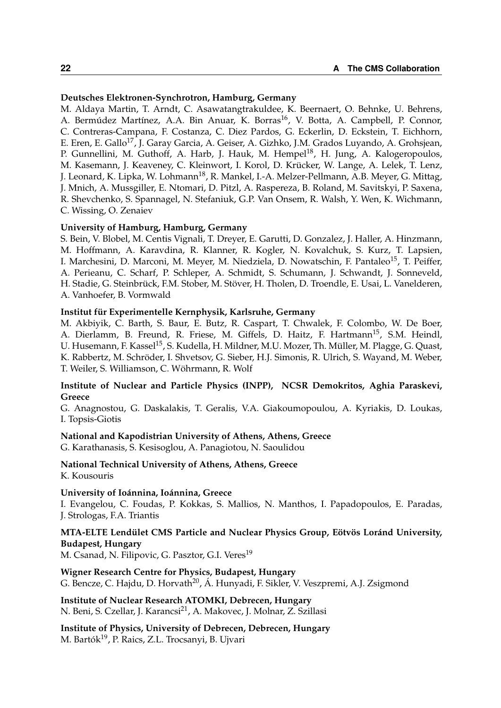#### **Deutsches Elektronen-Synchrotron, Hamburg, Germany**

M. Aldaya Martin, T. Arndt, C. Asawatangtrakuldee, K. Beernaert, O. Behnke, U. Behrens, A. Bermúdez Martínez, A.A. Bin Anuar, K. Borras<sup>16</sup>, V. Botta, A. Campbell, P. Connor, C. Contreras-Campana, F. Costanza, C. Diez Pardos, G. Eckerlin, D. Eckstein, T. Eichhorn, E. Eren, E. Gallo<sup>17</sup>, J. Garay Garcia, A. Geiser, A. Gizhko, J.M. Grados Luyando, A. Grohsjean, P. Gunnellini, M. Guthoff, A. Harb, J. Hauk, M. Hempel<sup>18</sup>, H. Jung, A. Kalogeropoulos, M. Kasemann, J. Keaveney, C. Kleinwort, I. Korol, D. Krücker, W. Lange, A. Lelek, T. Lenz, J. Leonard, K. Lipka, W. Lohmann<sup>18</sup>, R. Mankel, I.-A. Melzer-Pellmann, A.B. Meyer, G. Mittag, J. Mnich, A. Mussgiller, E. Ntomari, D. Pitzl, A. Raspereza, B. Roland, M. Savitskyi, P. Saxena, R. Shevchenko, S. Spannagel, N. Stefaniuk, G.P. Van Onsem, R. Walsh, Y. Wen, K. Wichmann, C. Wissing, O. Zenaiev

# **University of Hamburg, Hamburg, Germany**

S. Bein, V. Blobel, M. Centis Vignali, T. Dreyer, E. Garutti, D. Gonzalez, J. Haller, A. Hinzmann, M. Hoffmann, A. Karavdina, R. Klanner, R. Kogler, N. Kovalchuk, S. Kurz, T. Lapsien, I. Marchesini, D. Marconi, M. Meyer, M. Niedziela, D. Nowatschin, F. Pantaleo<sup>15</sup>, T. Peiffer, A. Perieanu, C. Scharf, P. Schleper, A. Schmidt, S. Schumann, J. Schwandt, J. Sonneveld, H. Stadie, G. Steinbrück, F.M. Stober, M. Stöver, H. Tholen, D. Troendle, E. Usai, L. Vanelderen, A. Vanhoefer, B. Vormwald

### Institut für Experimentelle Kernphysik, Karlsruhe, Germany

M. Akbiyik, C. Barth, S. Baur, E. Butz, R. Caspart, T. Chwalek, F. Colombo, W. De Boer, A. Dierlamm, B. Freund, R. Friese, M. Giffels, D. Haitz, F. Hartmann<sup>15</sup>, S.M. Heindl, U. Husemann, F. Kassel<sup>15</sup>, S. Kudella, H. Mildner, M.U. Mozer, Th. Müller, M. Plagge, G. Quast, K. Rabbertz, M. Schröder, I. Shvetsov, G. Sieber, H.J. Simonis, R. Ulrich, S. Wayand, M. Weber, T. Weiler, S. Williamson, C. Wohrmann, R. Wolf ¨

# **Institute of Nuclear and Particle Physics (INPP), NCSR Demokritos, Aghia Paraskevi, Greece**

G. Anagnostou, G. Daskalakis, T. Geralis, V.A. Giakoumopoulou, A. Kyriakis, D. Loukas, I. Topsis-Giotis

#### **National and Kapodistrian University of Athens, Athens, Greece**

G. Karathanasis, S. Kesisoglou, A. Panagiotou, N. Saoulidou

# **National Technical University of Athens, Athens, Greece**

K. Kousouris

#### **University of Ioánnina, Ioánnina, Greece**

I. Evangelou, C. Foudas, P. Kokkas, S. Mallios, N. Manthos, I. Papadopoulos, E. Paradas, J. Strologas, F.A. Triantis

# **MTA-ELTE Lendület CMS Particle and Nuclear Physics Group, Eötvös Loránd University, Budapest, Hungary**

M. Csanad, N. Filipovic, G. Pasztor, G.I. Veres<sup>19</sup>

**Wigner Research Centre for Physics, Budapest, Hungary** G. Bencze, C. Hajdu, D. Horvath<sup>20</sup>, Á. Hunyadi, F. Sikler, V. Veszpremi, A.J. Zsigmond

**Institute of Nuclear Research ATOMKI, Debrecen, Hungary** N. Beni, S. Czellar, J. Karancsi<sup>21</sup>, A. Makovec, J. Molnar, Z. Szillasi

**Institute of Physics, University of Debrecen, Debrecen, Hungary** M. Bartók<sup>19</sup>, P. Raics, Z.L. Trocsanyi, B. Ujvari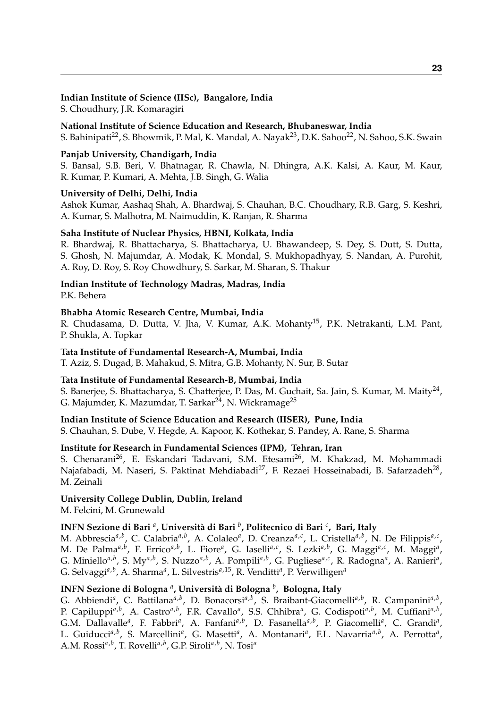# **Indian Institute of Science (IISc), Bangalore, India**

S. Choudhury, J.R. Komaragiri

# **National Institute of Science Education and Research, Bhubaneswar, India**

S. Bahinipati<sup>22</sup>, S. Bhowmik, P. Mal, K. Mandal, A. Nayak<sup>23</sup>, D.K. Sahoo<sup>22</sup>, N. Sahoo, S.K. Swain

# **Panjab University, Chandigarh, India**

S. Bansal, S.B. Beri, V. Bhatnagar, R. Chawla, N. Dhingra, A.K. Kalsi, A. Kaur, M. Kaur, R. Kumar, P. Kumari, A. Mehta, J.B. Singh, G. Walia

#### **University of Delhi, Delhi, India**

Ashok Kumar, Aashaq Shah, A. Bhardwaj, S. Chauhan, B.C. Choudhary, R.B. Garg, S. Keshri, A. Kumar, S. Malhotra, M. Naimuddin, K. Ranjan, R. Sharma

#### **Saha Institute of Nuclear Physics, HBNI, Kolkata, India**

R. Bhardwaj, R. Bhattacharya, S. Bhattacharya, U. Bhawandeep, S. Dey, S. Dutt, S. Dutta, S. Ghosh, N. Majumdar, A. Modak, K. Mondal, S. Mukhopadhyay, S. Nandan, A. Purohit, A. Roy, D. Roy, S. Roy Chowdhury, S. Sarkar, M. Sharan, S. Thakur

# **Indian Institute of Technology Madras, Madras, India**

P.K. Behera

#### **Bhabha Atomic Research Centre, Mumbai, India**

R. Chudasama, D. Dutta, V. Jha, V. Kumar, A.K. Mohanty<sup>15</sup>, P.K. Netrakanti, L.M. Pant, P. Shukla, A. Topkar

#### **Tata Institute of Fundamental Research-A, Mumbai, India**

T. Aziz, S. Dugad, B. Mahakud, S. Mitra, G.B. Mohanty, N. Sur, B. Sutar

### **Tata Institute of Fundamental Research-B, Mumbai, India**

S. Banerjee, S. Bhattacharya, S. Chatterjee, P. Das, M. Guchait, Sa. Jain, S. Kumar, M. Maity<sup>24</sup>, G. Majumder, K. Mazumdar, T. Sarkar<sup>24</sup>, N. Wickramage<sup>25</sup>

#### **Indian Institute of Science Education and Research (IISER), Pune, India**

S. Chauhan, S. Dube, V. Hegde, A. Kapoor, K. Kothekar, S. Pandey, A. Rane, S. Sharma

# **Institute for Research in Fundamental Sciences (IPM), Tehran, Iran**

S. Chenarani<sup>26</sup>, E. Eskandari Tadavani, S.M. Etesami<sup>26</sup>, M. Khakzad, M. Mohammadi Najafabadi, M. Naseri, S. Paktinat Mehdiabadi<sup>27</sup>, F. Rezaei Hosseinabadi, B. Safarzadeh<sup>28</sup>, M. Zeinali

#### **University College Dublin, Dublin, Ireland**

M. Felcini, M. Grunewald

# **INFN Sezione di Bari** *<sup>a</sup>* **, Universit`a di Bari** *<sup>b</sup>* **, Politecnico di Bari** *<sup>c</sup>* **, Bari, Italy**

M. Abbrescia<sup>a,*b*</sup>, C. Calabria<sup>a,*b*</sup>, A. Colaleo<sup>a</sup>, D. Creanza<sup>a,c</sup>, L. Cristella<sup>a,*b*</sup>, N. De Filippis<sup>a,c</sup>, M. De Palma*a*,*<sup>b</sup>* , F. Errico*a*,*<sup>b</sup>* , L. Fiore*<sup>a</sup>* , G. Iaselli*a*,*<sup>c</sup>* , S. Lezki*a*,*<sup>b</sup>* , G. Maggi*a*,*<sup>c</sup>* , M. Maggi*<sup>a</sup>* , G. Miniello*a*,*<sup>b</sup>* , S. My*a*,*<sup>b</sup>* , S. Nuzzo*a*,*<sup>b</sup>* , A. Pompili*a*,*<sup>b</sup>* , G. Pugliese*a*,*<sup>c</sup>* , R. Radogna*<sup>a</sup>* , A. Ranieri*<sup>a</sup>* , G. Selvaggi*a*,*<sup>b</sup>* , A. Sharma*<sup>a</sup>* , L. Silvestris*a*,15, R. Venditti*<sup>a</sup>* , P. Verwilligen*<sup>a</sup>*

# **INFN Sezione di Bologna** *<sup>a</sup>* **, Universit`a di Bologna** *<sup>b</sup>* **, Bologna, Italy**

G. Abbiendi<sup>a</sup>, C. Battilana<sup>a,*b*</sup>, D. Bonacorsi<sup>a,*b*</sup>, S. Braibant-Giacomelli<sup>a,*b*</sup>, R. Campanini<sup>a,*b*</sup>, P. Capiluppi<sup>a,b</sup>, A. Castro<sup>a,b</sup>, F.R. Cavallo<sup>a</sup>, S.S. Chhibra<sup>a</sup>, G. Codispoti<sup>a,b</sup>, M. Cuffiani<sup>a,b</sup>, G.M. Dallavalle<sup>a</sup>, F. Fabbri<sup>a</sup>, A. Fanfani<sup>a,b</sup>, D. Fasanella<sup>a,b</sup>, P. Giacomelli<sup>a</sup>, C. Grandi<sup>a</sup>, L. Guiducci<sup>a,b</sup>, S. Marcellini<sup>a</sup>, G. Masetti<sup>a</sup>, A. Montanari<sup>a</sup>, F.L. Navarria<sup>a,b</sup>, A. Perrotta<sup>a</sup>, A.M. Rossi*a*,*<sup>b</sup>* , T. Rovelli*a*,*<sup>b</sup>* , G.P. Siroli*a*,*<sup>b</sup>* , N. Tosi*<sup>a</sup>*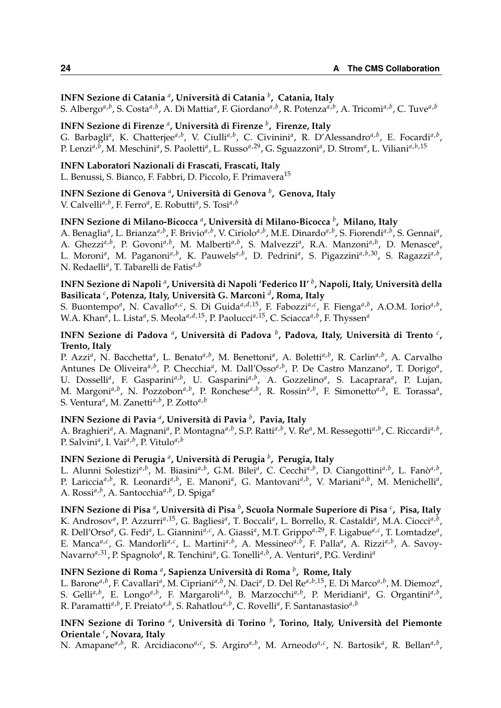# **INFN Sezione di Catania** *<sup>a</sup>* **, Universit`a di Catania** *<sup>b</sup>* **, Catania, Italy**

S. Albergo*a*,*<sup>b</sup>* , S. Costa*a*,*<sup>b</sup>* , A. Di Mattia*<sup>a</sup>* , F. Giordano*a*,*<sup>b</sup>* , R. Potenza*a*,*<sup>b</sup>* , A. Tricomi*a*,*<sup>b</sup>* , C. Tuve*a*,*<sup>b</sup>*

# **INFN Sezione di Firenze** *<sup>a</sup>* **, Universit`a di Firenze** *<sup>b</sup>* **, Firenze, Italy**

G. Barbagli<sup>a</sup>, K. Chatterjee<sup>a,b</sup>, V. Ciulli<sup>a,b</sup>, C. Civinini<sup>a</sup>, R. D'Alessandro<sup>a,b</sup>, E. Focardi<sup>a,b</sup>, P. Lenzi*a*,*<sup>b</sup>* , M. Meschini*<sup>a</sup>* , S. Paoletti*<sup>a</sup>* , L. Russo*a*,29, G. Sguazzoni*<sup>a</sup>* , D. Strom*<sup>a</sup>* , L. Viliani*a*,*b*,15

#### **INFN Laboratori Nazionali di Frascati, Frascati, Italy**

L. Benussi, S. Bianco, F. Fabbri, D. Piccolo, F. Primavera<sup>15</sup>

# **INFN Sezione di Genova** *<sup>a</sup>* **, Universit`a di Genova** *<sup>b</sup>* **, Genova, Italy**

V. Calvelli*a*,*<sup>b</sup>* , F. Ferro*<sup>a</sup>* , E. Robutti*<sup>a</sup>* , S. Tosi*a*,*<sup>b</sup>*

# **INFN Sezione di Milano-Bicocca** *<sup>a</sup>* **, Universit`a di Milano-Bicocca** *<sup>b</sup>* **, Milano, Italy**

A. Benaglia<sup>a</sup>, L. Brianza<sup>a,b</sup>, F. Brivio<sup>a,b</sup>, V. Ciriolo<sup>a,b</sup>, M.E. Dinardo<sup>a,b</sup>, S. Fiorendi<sup>a,b</sup>, S. Gennai<sup>a</sup>, A. Ghezzi<sup>a,*b*</sup>, P. Govoni<sup>a,*b*</sup>, M. Malberti<sup>a,*b*</sup>, S. Malvezzi<sup>a</sup>, R.A. Manzoni<sup>a,*b*</sup>, D. Menasce<sup>a</sup>, L. Moroni*<sup>a</sup>* , M. Paganoni*a*,*<sup>b</sup>* , K. Pauwels*a*,*<sup>b</sup>* , D. Pedrini*<sup>a</sup>* , S. Pigazzini*a*,*b*,30, S. Ragazzi*a*,*<sup>b</sup>* , N. Redaelli*<sup>a</sup>* , T. Tabarelli de Fatis*a*,*<sup>b</sup>*

# INFN Sezione di Napoli*ª,* Università di Napoli 'Federico II' <sup>b</sup>, Napoli, Italy, Università della **Basilicata** *<sup>c</sup>* **, Potenza, Italy, Universit`a G. Marconi** *<sup>d</sup>* **, Roma, Italy**

S. Buontempo<sup>a</sup>, N. Cavallo<sup>a,*c*</sup>, S. Di Guida<sup>a,d,15</sup>, F. Fabozzi<sup>a,*c*</sup>, F. Fienga<sup>a,b</sup>, A.O.M. Iorio<sup>a,b</sup>, W.A. Khan*<sup>a</sup>* , L. Lista*<sup>a</sup>* , S. Meola*a*,*d*,15, P. Paolucci*a*,15, C. Sciacca*a*,*<sup>b</sup>* , F. Thyssen*<sup>a</sup>*

# INFN Sezione di Padova <sup>a</sup>, Università di Padova <sup>b</sup>, Padova, Italy, Università di Trento <sup>*c*</sup>, **Trento, Italy**

P. Azzi<sup>a</sup>, N. Bacchetta<sup>a</sup>, L. Benato<sup>a,*b*</sup>, M. Benettoni<sup>a</sup>, A. Boletti<sup>a,*b*</sup>, R. Carlin<sup>a,*b*</sup>, A. Carvalho Antunes De Oliveira<sup>a,*b*</sup>, P. Checchia<sup>a</sup>, M. Dall'Osso<sup>a,*b*</sup>, P. De Castro Manzano<sup>a</sup>, T. Dorigo<sup>a</sup>, U. Dosselli<sup>a</sup>, F. Gasparini<sup>a,b</sup>, U. Gasparini<sup>a,b</sup>, A. Gozzelino<sup>a</sup>, S. Lacaprara<sup>a</sup>, P. Lujan, M. Margoni*a*,*<sup>b</sup>* , N. Pozzobon*a*,*<sup>b</sup>* , P. Ronchese*a*,*<sup>b</sup>* , R. Rossin*a*,*<sup>b</sup>* , F. Simonetto*a*,*<sup>b</sup>* , E. Torassa*<sup>a</sup>* , S. Ventura*<sup>a</sup>* , M. Zanetti*a*,*<sup>b</sup>* , P. Zotto*a*,*<sup>b</sup>*

# **INFN Sezione di Pavia** *<sup>a</sup>* **, Universit`a di Pavia** *<sup>b</sup>* **, Pavia, Italy**

A. Braghieri<sup>a</sup>, A. Magnani<sup>a</sup>, P. Montagna<sup>a,b</sup>, S.P. Ratti<sup>a,b</sup>, V. Re<sup>a</sup>, M. Ressegotti<sup>a,b</sup>, C. Riccardi<sup>a,b</sup>, P. Salvini*<sup>a</sup>* , I. Vai*a*,*<sup>b</sup>* , P. Vitulo*a*,*<sup>b</sup>*

# **INFN Sezione di Perugia** *<sup>a</sup>* **, Universit`a di Perugia** *<sup>b</sup>* **, Perugia, Italy**

L. Alunni Solestizi<sup>a,b</sup>, M. Biasini<sup>a,b</sup>, G.M. Bilei<sup>a</sup>, C. Cecchi<sup>a,b</sup>, D. Ciangottini<sup>a,b</sup>, L. Fanò<sup>a,b</sup>, P. Lariccia<sup>a,*b*</sup>, R. Leonardi<sup>a,*b*</sup>, E. Manoni<sup>a</sup>, G. Mantovani<sup>a,*b*</sup>, V. Mariani<sup>a,*b*</sup>, M. Menichelli<sup>a</sup>, A. Rossi*a*,*<sup>b</sup>* , A. Santocchia*a*,*<sup>b</sup>* , D. Spiga*<sup>a</sup>*

**INFN Sezione di Pisa** *<sup>a</sup>* **, Universit`a di Pisa** *<sup>b</sup>* **, Scuola Normale Superiore di Pisa** *<sup>c</sup>* **, Pisa, Italy** K. Androsov<sup>a</sup>, P. Azzurri<sup>a,15</sup>, G. Bagliesi<sup>a</sup>, T. Boccali<sup>a</sup>, L. Borrello, R. Castaldi<sup>a</sup>, M.A. Ciocci<sup>a,b</sup>, R. Dell'Orso<sup>a</sup>, G. Fedi<sup>a</sup>, L. Giannini<sup>a, c</sup>, A. Giassi<sup>a</sup>, M.T. Grippo<sup>a, 29</sup>, F. Ligabue<sup>a, c</sup>, T. Lomtadze<sup>a</sup>, E. Manca<sup>a,*c*</sup>, G. Mandorli<sup>a,*c*</sup>, L. Martini<sup>a,b</sup>, A. Messineo<sup>a,b</sup>, F. Palla<sup>a</sup>, A. Rizzi<sup>a,b</sup>, A. Savoy-Navarro<sup>a,31</sup>, P. Spagnolo<sup>a</sup>, R. Tenchini<sup>a</sup>, G. Tonelli<sup>a,b</sup>, A. Venturi<sup>a</sup>, P.G. Verdini<sup>a</sup>

# **INFN Sezione di Roma** *<sup>a</sup>* **, Sapienza Universit`a di Roma** *<sup>b</sup>* **, Rome, Italy**

L. Barone<sup>a,b</sup>, F. Cavallari<sup>a</sup>, M. Cipriani<sup>a,b</sup>, N. Daci<sup>a</sup>, D. Del Re<sup>a,b,15</sup>, E. Di Marco<sup>a,b</sup>, M. Diemoz<sup>a</sup>, S. Gelli<sup>a,b</sup>, E. Longo<sup>a,b</sup>, F. Margaroli<sup>a,b</sup>, B. Marzocchi<sup>a,b</sup>, P. Meridiani<sup>a</sup>, G. Organtini<sup>a,b</sup>, R. Paramatti*a*,*<sup>b</sup>* , F. Preiato*a*,*<sup>b</sup>* , S. Rahatlou*a*,*<sup>b</sup>* , C. Rovelli*<sup>a</sup>* , F. Santanastasio*a*,*<sup>b</sup>*

# INFN Sezione di Torino<sup>a</sup>, Università di Torino<sup>b</sup>, Torino, Italy, Università del Piemonte **Orientale** *<sup>c</sup>* **, Novara, Italy**

N. Amapane<sup>a,b</sup>, R. Arcidiacono<sup>a,c</sup>, S. Argiro<sup>a,b</sup>, M. Arneodo<sup>a,c</sup>, N. Bartosik<sup>a</sup>, R. Bellan<sup>a,b</sup>,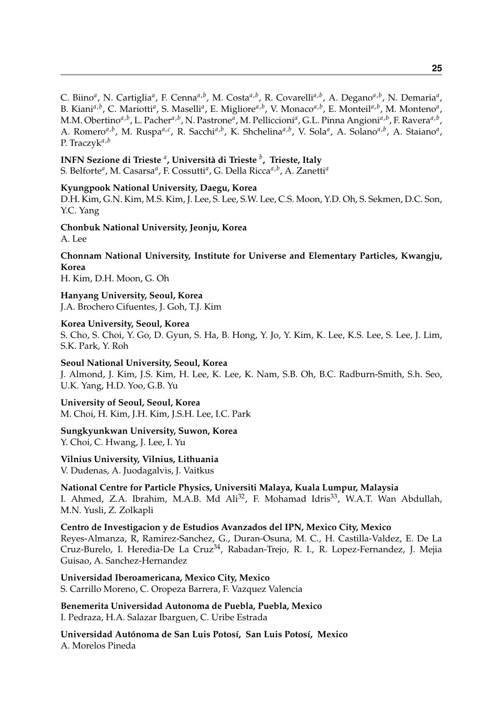C. Biino<sup>a</sup>, N. Cartiglia<sup>a</sup>, F. Cenna<sup>a,b</sup>, M. Costa<sup>a,b</sup>, R. Covarelli<sup>a,b</sup>, A. Degano<sup>a,b</sup>, N. Demaria<sup>a</sup>, B. Kiani<sup>*a,b*</sup>, C. Mariotti<sup>*a*</sup>, S. Maselli<sup>*a*</sup>, E. Migliore<sup>*a,b*</sup>, V. Monaco<sup>*a,b*</sup>, E. Monteil<sup>*a,b*</sup>, M. Monteno<sup>*a*</sup>, M.M. Obertino<sup>a,b</sup>, L. Pacher<sup>a,b</sup>, N. Pastrone<sup>a</sup>, M. Pelliccioni<sup>a</sup>, G.L. Pinna Angioni<sup>a,b</sup>, F. Ravera<sup>a,b</sup>, A. Romero<sup>a,b</sup>, M. Ruspa<sup>a,c</sup>, R. Sacchi<sup>a,b</sup>, K. Shchelina<sup>a,b</sup>, V. Sola<sup>a</sup>, A. Solano<sup>a,b</sup>, A. Staiano<sup>a</sup>, P. Traczyk*a*,*<sup>b</sup>*

**INFN Sezione di Trieste** *<sup>a</sup>* **, Universit`a di Trieste** *<sup>b</sup>* **, Trieste, Italy** S. Belforte*<sup>a</sup>* , M. Casarsa*<sup>a</sup>* , F. Cossutti*<sup>a</sup>* , G. Della Ricca*a*,*<sup>b</sup>* , A. Zanetti*<sup>a</sup>*

# **Kyungpook National University, Daegu, Korea**

D.H. Kim, G.N. Kim, M.S. Kim, J. Lee, S. Lee, S.W. Lee, C.S. Moon, Y.D. Oh, S. Sekmen, D.C. Son, Y.C. Yang

**Chonbuk National University, Jeonju, Korea** A. Lee

**Chonnam National University, Institute for Universe and Elementary Particles, Kwangju, Korea** H. Kim, D.H. Moon, G. Oh

**Hanyang University, Seoul, Korea** J.A. Brochero Cifuentes, J. Goh, T.J. Kim

# **Korea University, Seoul, Korea** S. Cho, S. Choi, Y. Go, D. Gyun, S. Ha, B. Hong, Y. Jo, Y. Kim, K. Lee, K.S. Lee, S. Lee, J. Lim, S.K. Park, Y. Roh

### **Seoul National University, Seoul, Korea** J. Almond, J. Kim, J.S. Kim, H. Lee, K. Lee, K. Nam, S.B. Oh, B.C. Radburn-Smith, S.h. Seo, U.K. Yang, H.D. Yoo, G.B. Yu

**University of Seoul, Seoul, Korea** M. Choi, H. Kim, J.H. Kim, J.S.H. Lee, I.C. Park

**Sungkyunkwan University, Suwon, Korea** Y. Choi, C. Hwang, J. Lee, I. Yu

**Vilnius University, Vilnius, Lithuania** V. Dudenas, A. Juodagalvis, J. Vaitkus

**National Centre for Particle Physics, Universiti Malaya, Kuala Lumpur, Malaysia** I. Ahmed, Z.A. Ibrahim, M.A.B. Md Ali<sup>32</sup>, F. Mohamad Idris<sup>33</sup>, W.A.T. Wan Abdullah, M.N. Yusli, Z. Zolkapli

**Centro de Investigacion y de Estudios Avanzados del IPN, Mexico City, Mexico** Reyes-Almanza, R, Ramirez-Sanchez, G., Duran-Osuna, M. C., H. Castilla-Valdez, E. De La Cruz-Burelo, I. Heredia-De La Cruz<sup>34</sup>, Rabadan-Trejo, R. I., R. Lopez-Fernandez, J. Mejia Guisao, A. Sanchez-Hernandez

**Universidad Iberoamericana, Mexico City, Mexico** S. Carrillo Moreno, C. Oropeza Barrera, F. Vazquez Valencia

**Benemerita Universidad Autonoma de Puebla, Puebla, Mexico** I. Pedraza, H.A. Salazar Ibarguen, C. Uribe Estrada

**Universidad Autónoma de San Luis Potosí, San Luis Potosí, Mexico** A. Morelos Pineda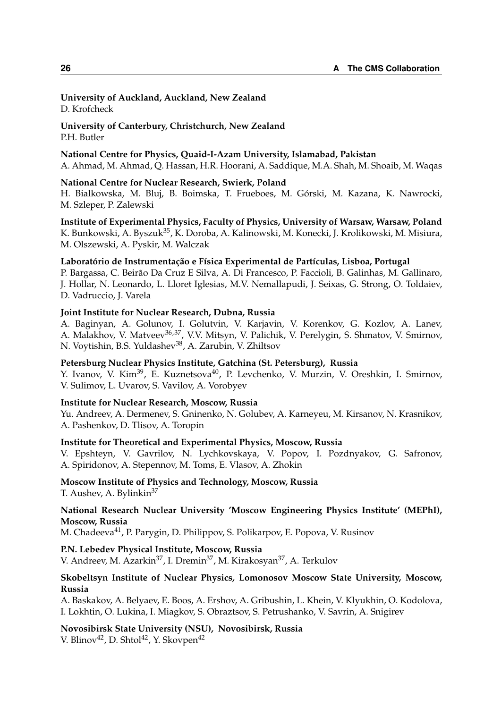# **University of Auckland, Auckland, New Zealand** D. Krofcheck

# **University of Canterbury, Christchurch, New Zealand** P.H. Butler

**National Centre for Physics, Quaid-I-Azam University, Islamabad, Pakistan** A. Ahmad, M. Ahmad, Q. Hassan, H.R. Hoorani, A. Saddique, M.A. Shah, M. Shoaib, M. Waqas

#### **National Centre for Nuclear Research, Swierk, Poland**

H. Bialkowska, M. Bluj, B. Boimska, T. Frueboes, M. Górski, M. Kazana, K. Nawrocki, M. Szleper, P. Zalewski

**Institute of Experimental Physics, Faculty of Physics, University of Warsaw, Warsaw, Poland** K. Bunkowski, A. Byszuk<sup>35</sup>, K. Doroba, A. Kalinowski, M. Konecki, J. Krolikowski, M. Misiura, M. Olszewski, A. Pyskir, M. Walczak

# Laboratório de Instrumentação e Física Experimental de Partículas, Lisboa, Portugal

P. Bargassa, C. Beirão Da Cruz E Silva, A. Di Francesco, P. Faccioli, B. Galinhas, M. Gallinaro, J. Hollar, N. Leonardo, L. Lloret Iglesias, M.V. Nemallapudi, J. Seixas, G. Strong, O. Toldaiev, D. Vadruccio, J. Varela

# **Joint Institute for Nuclear Research, Dubna, Russia**

A. Baginyan, A. Golunov, I. Golutvin, V. Karjavin, V. Korenkov, G. Kozlov, A. Lanev, A. Malakhov, V. Matveev<sup>36,37</sup>, V.V. Mitsyn, V. Palichik, V. Perelygin, S. Shmatov, V. Smirnov, N. Voytishin, B.S. Yuldashev<sup>38</sup>, A. Zarubin, V. Zhiltsov

### **Petersburg Nuclear Physics Institute, Gatchina (St. Petersburg), Russia**

Y. Ivanov, V. Kim<sup>39</sup>, E. Kuznetsova<sup>40</sup>, P. Levchenko, V. Murzin, V. Oreshkin, I. Smirnov, V. Sulimov, L. Uvarov, S. Vavilov, A. Vorobyev

#### **Institute for Nuclear Research, Moscow, Russia**

Yu. Andreev, A. Dermenev, S. Gninenko, N. Golubev, A. Karneyeu, M. Kirsanov, N. Krasnikov, A. Pashenkov, D. Tlisov, A. Toropin

#### **Institute for Theoretical and Experimental Physics, Moscow, Russia**

V. Epshteyn, V. Gavrilov, N. Lychkovskaya, V. Popov, I. Pozdnyakov, G. Safronov, A. Spiridonov, A. Stepennov, M. Toms, E. Vlasov, A. Zhokin

**Moscow Institute of Physics and Technology, Moscow, Russia** T. Aushev, A. Bylinkin<sup>37</sup>

# **National Research Nuclear University 'Moscow Engineering Physics Institute' (MEPhI), Moscow, Russia**

M. Chadeeva41, P. Parygin, D. Philippov, S. Polikarpov, E. Popova, V. Rusinov

**P.N. Lebedev Physical Institute, Moscow, Russia**

V. Andreev, M. Azarkin<sup>37</sup>, I. Dremin<sup>37</sup>, M. Kirakosyan<sup>37</sup>, A. Terkulov

# **Skobeltsyn Institute of Nuclear Physics, Lomonosov Moscow State University, Moscow, Russia**

A. Baskakov, A. Belyaev, E. Boos, A. Ershov, A. Gribushin, L. Khein, V. Klyukhin, O. Kodolova, I. Lokhtin, O. Lukina, I. Miagkov, S. Obraztsov, S. Petrushanko, V. Savrin, A. Snigirev

**Novosibirsk State University (NSU), Novosibirsk, Russia**

V. Blinov<sup>42</sup>, D. Shtol<sup>42</sup>, Y. Skovpen<sup>42</sup>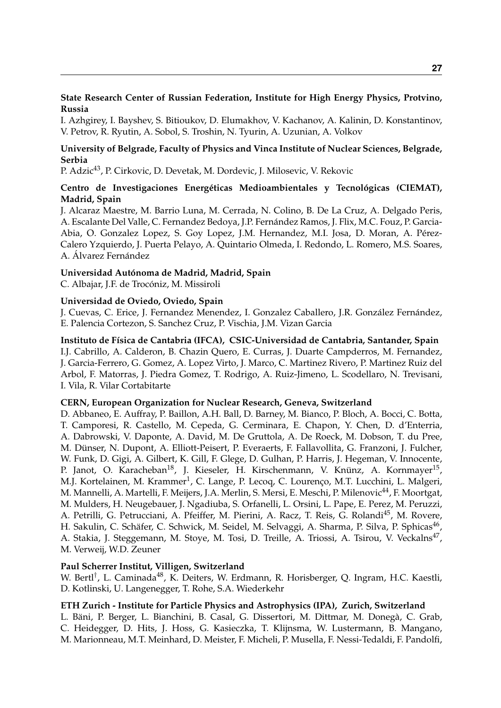# **State Research Center of Russian Federation, Institute for High Energy Physics, Protvino, Russia**

I. Azhgirey, I. Bayshev, S. Bitioukov, D. Elumakhov, V. Kachanov, A. Kalinin, D. Konstantinov, V. Petrov, R. Ryutin, A. Sobol, S. Troshin, N. Tyurin, A. Uzunian, A. Volkov

# **University of Belgrade, Faculty of Physics and Vinca Institute of Nuclear Sciences, Belgrade, Serbia**

P. Adzic43, P. Cirkovic, D. Devetak, M. Dordevic, J. Milosevic, V. Rekovic

# Centro de Investigaciones Energéticas Medioambientales y Tecnológicas (CIEMAT), **Madrid, Spain**

J. Alcaraz Maestre, M. Barrio Luna, M. Cerrada, N. Colino, B. De La Cruz, A. Delgado Peris, A. Escalante Del Valle, C. Fernandez Bedoya, J.P. Fernandez Ramos, J. Flix, M.C. Fouz, P. Garcia- ´ Abia, O. Gonzalez Lopez, S. Goy Lopez, J.M. Hernandez, M.I. Josa, D. Moran, A. Perez- ´ Calero Yzquierdo, J. Puerta Pelayo, A. Quintario Olmeda, I. Redondo, L. Romero, M.S. Soares, A. Álvarez Fernández

# **Universidad Autónoma de Madrid, Madrid, Spain**

C. Albajar, J.F. de Trocóniz, M. Missiroli

### **Universidad de Oviedo, Oviedo, Spain**

J. Cuevas, C. Erice, J. Fernandez Menendez, I. Gonzalez Caballero, J.R. González Fernández, E. Palencia Cortezon, S. Sanchez Cruz, P. Vischia, J.M. Vizan Garcia

### Instituto de Física de Cantabria (IFCA), CSIC-Universidad de Cantabria, Santander, Spain

I.J. Cabrillo, A. Calderon, B. Chazin Quero, E. Curras, J. Duarte Campderros, M. Fernandez, J. Garcia-Ferrero, G. Gomez, A. Lopez Virto, J. Marco, C. Martinez Rivero, P. Martinez Ruiz del Arbol, F. Matorras, J. Piedra Gomez, T. Rodrigo, A. Ruiz-Jimeno, L. Scodellaro, N. Trevisani, I. Vila, R. Vilar Cortabitarte

#### **CERN, European Organization for Nuclear Research, Geneva, Switzerland**

D. Abbaneo, E. Auffray, P. Baillon, A.H. Ball, D. Barney, M. Bianco, P. Bloch, A. Bocci, C. Botta, T. Camporesi, R. Castello, M. Cepeda, G. Cerminara, E. Chapon, Y. Chen, D. d'Enterria, A. Dabrowski, V. Daponte, A. David, M. De Gruttola, A. De Roeck, M. Dobson, T. du Pree, M. Dunser, N. Dupont, A. Elliott-Peisert, P. Everaerts, F. Fallavollita, G. Franzoni, J. Fulcher, ¨ W. Funk, D. Gigi, A. Gilbert, K. Gill, F. Glege, D. Gulhan, P. Harris, J. Hegeman, V. Innocente, P. Janot, O. Karacheban<sup>18</sup>, J. Kieseler, H. Kirschenmann, V. Knünz, A. Kornmayer<sup>15</sup>, M.J. Kortelainen, M. Krammer<sup>1</sup>, C. Lange, P. Lecoq, C. Lourenço, M.T. Lucchini, L. Malgeri, M. Mannelli, A. Martelli, F. Meijers, J.A. Merlin, S. Mersi, E. Meschi, P. Milenovic<sup>44</sup>, F. Moortgat, M. Mulders, H. Neugebauer, J. Ngadiuba, S. Orfanelli, L. Orsini, L. Pape, E. Perez, M. Peruzzi, A. Petrilli, G. Petrucciani, A. Pfeiffer, M. Pierini, A. Racz, T. Reis, G. Rolandi<sup>45</sup>, M. Rovere, H. Sakulin, C. Schäfer, C. Schwick, M. Seidel, M. Selvaggi, A. Sharma, P. Silva, P. Sphicas<sup>46</sup>, A. Stakia, J. Steggemann, M. Stoye, M. Tosi, D. Treille, A. Triossi, A. Tsirou, V. Veckalns<sup>47</sup>, M. Verweij, W.D. Zeuner

# **Paul Scherrer Institut, Villigen, Switzerland**

W. Bertl<sup>†</sup>, L. Caminada<sup>48</sup>, K. Deiters, W. Erdmann, R. Horisberger, Q. Ingram, H.C. Kaestli, D. Kotlinski, U. Langenegger, T. Rohe, S.A. Wiederkehr

#### **ETH Zurich - Institute for Particle Physics and Astrophysics (IPA), Zurich, Switzerland**

L. Bäni, P. Berger, L. Bianchini, B. Casal, G. Dissertori, M. Dittmar, M. Donegà, C. Grab, C. Heidegger, D. Hits, J. Hoss, G. Kasieczka, T. Klijnsma, W. Lustermann, B. Mangano, M. Marionneau, M.T. Meinhard, D. Meister, F. Micheli, P. Musella, F. Nessi-Tedaldi, F. Pandolfi,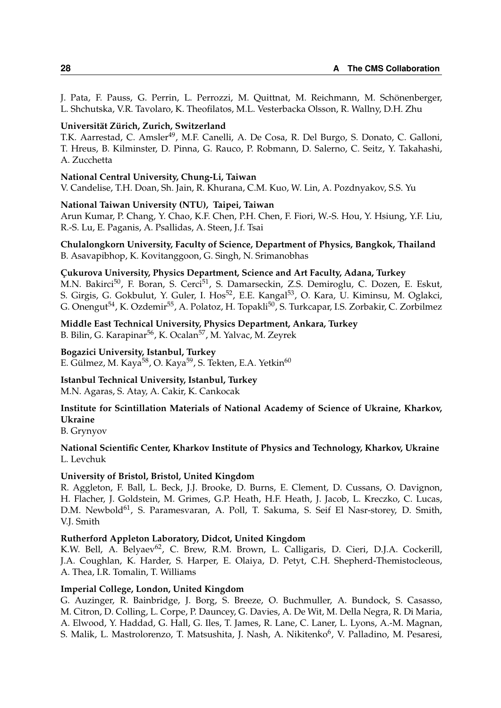J. Pata, F. Pauss, G. Perrin, L. Perrozzi, M. Quittnat, M. Reichmann, M. Schönenberger, L. Shchutska, V.R. Tavolaro, K. Theofilatos, M.L. Vesterbacka Olsson, R. Wallny, D.H. Zhu

#### Universität Zürich, Zurich, Switzerland

T.K. Aarrestad, C. Amsler<sup>49</sup>, M.F. Canelli, A. De Cosa, R. Del Burgo, S. Donato, C. Galloni, T. Hreus, B. Kilminster, D. Pinna, G. Rauco, P. Robmann, D. Salerno, C. Seitz, Y. Takahashi, A. Zucchetta

#### **National Central University, Chung-Li, Taiwan**

V. Candelise, T.H. Doan, Sh. Jain, R. Khurana, C.M. Kuo, W. Lin, A. Pozdnyakov, S.S. Yu

#### **National Taiwan University (NTU), Taipei, Taiwan**

Arun Kumar, P. Chang, Y. Chao, K.F. Chen, P.H. Chen, F. Fiori, W.-S. Hou, Y. Hsiung, Y.F. Liu, R.-S. Lu, E. Paganis, A. Psallidas, A. Steen, J.f. Tsai

**Chulalongkorn University, Faculty of Science, Department of Physics, Bangkok, Thailand** B. Asavapibhop, K. Kovitanggoon, G. Singh, N. Srimanobhas

# **C¸ ukurova University, Physics Department, Science and Art Faculty, Adana, Turkey**

M.N. Bakirci<sup>50</sup>, F. Boran, S. Cerci<sup>51</sup>, S. Damarseckin, Z.S. Demiroglu, C. Dozen, E. Eskut, S. Girgis, G. Gokbulut, Y. Guler, I. Hos<sup>52</sup>, E.E. Kangal<sup>53</sup>, O. Kara, U. Kiminsu, M. Oglakci, G. Onengut<sup>54</sup>, K. Ozdemir<sup>55</sup>, A. Polatoz, H. Topakli<sup>50</sup>, S. Turkcapar, I.S. Zorbakir, C. Zorbilmez

**Middle East Technical University, Physics Department, Ankara, Turkey** B. Bilin, G. Karapinar<sup>56</sup>, K. Ocalan<sup>57</sup>, M. Yalvac, M. Zevrek

### **Bogazici University, Istanbul, Turkey**

E. Gülmez, M. Kaya<sup>58</sup>, O. Kaya<sup>59</sup>, S. Tekten, E.A. Yetkin<sup>60</sup>

**Istanbul Technical University, Istanbul, Turkey** M.N. Agaras, S. Atay, A. Cakir, K. Cankocak

# **Institute for Scintillation Materials of National Academy of Science of Ukraine, Kharkov, Ukraine**

B. Grynyov

**National Scientific Center, Kharkov Institute of Physics and Technology, Kharkov, Ukraine** L. Levchuk

#### **University of Bristol, Bristol, United Kingdom**

R. Aggleton, F. Ball, L. Beck, J.J. Brooke, D. Burns, E. Clement, D. Cussans, O. Davignon, H. Flacher, J. Goldstein, M. Grimes, G.P. Heath, H.F. Heath, J. Jacob, L. Kreczko, C. Lucas, D.M. Newbold<sup>61</sup>, S. Paramesvaran, A. Poll, T. Sakuma, S. Seif El Nasr-storey, D. Smith, V.J. Smith

### **Rutherford Appleton Laboratory, Didcot, United Kingdom**

K.W. Bell, A. Belyaev<sup>62</sup>, C. Brew, R.M. Brown, L. Calligaris, D. Cieri, D.J.A. Cockerill, J.A. Coughlan, K. Harder, S. Harper, E. Olaiya, D. Petyt, C.H. Shepherd-Themistocleous, A. Thea, I.R. Tomalin, T. Williams

#### **Imperial College, London, United Kingdom**

G. Auzinger, R. Bainbridge, J. Borg, S. Breeze, O. Buchmuller, A. Bundock, S. Casasso, M. Citron, D. Colling, L. Corpe, P. Dauncey, G. Davies, A. De Wit, M. Della Negra, R. Di Maria, A. Elwood, Y. Haddad, G. Hall, G. Iles, T. James, R. Lane, C. Laner, L. Lyons, A.-M. Magnan, S. Malik, L. Mastrolorenzo, T. Matsushita, J. Nash, A. Nikitenko<sup>6</sup>, V. Palladino, M. Pesaresi,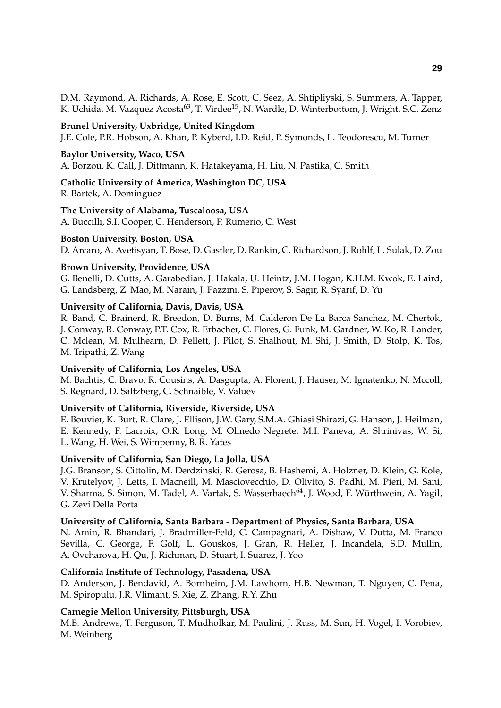D.M. Raymond, A. Richards, A. Rose, E. Scott, C. Seez, A. Shtipliyski, S. Summers, A. Tapper, K. Uchida, M. Vazquez Acosta<sup>63</sup>, T. Virdee<sup>15</sup>, N. Wardle, D. Winterbottom, J. Wright, S.C. Zenz

### **Brunel University, Uxbridge, United Kingdom**

J.E. Cole, P.R. Hobson, A. Khan, P. Kyberd, I.D. Reid, P. Symonds, L. Teodorescu, M. Turner

#### **Baylor University, Waco, USA**

A. Borzou, K. Call, J. Dittmann, K. Hatakeyama, H. Liu, N. Pastika, C. Smith

**Catholic University of America, Washington DC, USA**

R. Bartek, A. Dominguez

#### **The University of Alabama, Tuscaloosa, USA**

A. Buccilli, S.I. Cooper, C. Henderson, P. Rumerio, C. West

#### **Boston University, Boston, USA**

D. Arcaro, A. Avetisyan, T. Bose, D. Gastler, D. Rankin, C. Richardson, J. Rohlf, L. Sulak, D. Zou

#### **Brown University, Providence, USA**

G. Benelli, D. Cutts, A. Garabedian, J. Hakala, U. Heintz, J.M. Hogan, K.H.M. Kwok, E. Laird, G. Landsberg, Z. Mao, M. Narain, J. Pazzini, S. Piperov, S. Sagir, R. Syarif, D. Yu

#### **University of California, Davis, Davis, USA**

R. Band, C. Brainerd, R. Breedon, D. Burns, M. Calderon De La Barca Sanchez, M. Chertok, J. Conway, R. Conway, P.T. Cox, R. Erbacher, C. Flores, G. Funk, M. Gardner, W. Ko, R. Lander, C. Mclean, M. Mulhearn, D. Pellett, J. Pilot, S. Shalhout, M. Shi, J. Smith, D. Stolp, K. Tos, M. Tripathi, Z. Wang

#### **University of California, Los Angeles, USA**

M. Bachtis, C. Bravo, R. Cousins, A. Dasgupta, A. Florent, J. Hauser, M. Ignatenko, N. Mccoll, S. Regnard, D. Saltzberg, C. Schnaible, V. Valuev

#### **University of California, Riverside, Riverside, USA**

E. Bouvier, K. Burt, R. Clare, J. Ellison, J.W. Gary, S.M.A. Ghiasi Shirazi, G. Hanson, J. Heilman, E. Kennedy, F. Lacroix, O.R. Long, M. Olmedo Negrete, M.I. Paneva, A. Shrinivas, W. Si, L. Wang, H. Wei, S. Wimpenny, B. R. Yates

#### **University of California, San Diego, La Jolla, USA**

J.G. Branson, S. Cittolin, M. Derdzinski, R. Gerosa, B. Hashemi, A. Holzner, D. Klein, G. Kole, V. Krutelyov, J. Letts, I. Macneill, M. Masciovecchio, D. Olivito, S. Padhi, M. Pieri, M. Sani, V. Sharma, S. Simon, M. Tadel, A. Vartak, S. Wasserbaech<sup>64</sup>, J. Wood, F. Würthwein, A. Yagil, G. Zevi Della Porta

#### **University of California, Santa Barbara - Department of Physics, Santa Barbara, USA**

N. Amin, R. Bhandari, J. Bradmiller-Feld, C. Campagnari, A. Dishaw, V. Dutta, M. Franco Sevilla, C. George, F. Golf, L. Gouskos, J. Gran, R. Heller, J. Incandela, S.D. Mullin, A. Ovcharova, H. Qu, J. Richman, D. Stuart, I. Suarez, J. Yoo

#### **California Institute of Technology, Pasadena, USA**

D. Anderson, J. Bendavid, A. Bornheim, J.M. Lawhorn, H.B. Newman, T. Nguyen, C. Pena, M. Spiropulu, J.R. Vlimant, S. Xie, Z. Zhang, R.Y. Zhu

#### **Carnegie Mellon University, Pittsburgh, USA**

M.B. Andrews, T. Ferguson, T. Mudholkar, M. Paulini, J. Russ, M. Sun, H. Vogel, I. Vorobiev, M. Weinberg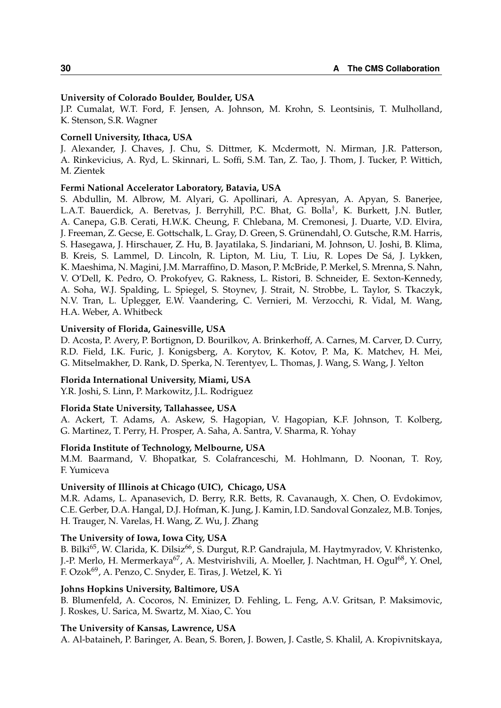#### **University of Colorado Boulder, Boulder, USA**

J.P. Cumalat, W.T. Ford, F. Jensen, A. Johnson, M. Krohn, S. Leontsinis, T. Mulholland, K. Stenson, S.R. Wagner

#### **Cornell University, Ithaca, USA**

J. Alexander, J. Chaves, J. Chu, S. Dittmer, K. Mcdermott, N. Mirman, J.R. Patterson, A. Rinkevicius, A. Ryd, L. Skinnari, L. Soffi, S.M. Tan, Z. Tao, J. Thom, J. Tucker, P. Wittich, M. Zientek

# **Fermi National Accelerator Laboratory, Batavia, USA**

S. Abdullin, M. Albrow, M. Alyari, G. Apollinari, A. Apresyan, A. Apyan, S. Banerjee, L.A.T. Bauerdick, A. Beretvas, J. Berryhill, P.C. Bhat, G. Bolla<sup>†</sup>, K. Burkett, J.N. Butler, A. Canepa, G.B. Cerati, H.W.K. Cheung, F. Chlebana, M. Cremonesi, J. Duarte, V.D. Elvira, J. Freeman, Z. Gecse, E. Gottschalk, L. Gray, D. Green, S. Grünendahl, O. Gutsche, R.M. Harris, S. Hasegawa, J. Hirschauer, Z. Hu, B. Jayatilaka, S. Jindariani, M. Johnson, U. Joshi, B. Klima, B. Kreis, S. Lammel, D. Lincoln, R. Lipton, M. Liu, T. Liu, R. Lopes De Sá, J. Lykken, K. Maeshima, N. Magini, J.M. Marraffino, D. Mason, P. McBride, P. Merkel, S. Mrenna, S. Nahn, V. O'Dell, K. Pedro, O. Prokofyev, G. Rakness, L. Ristori, B. Schneider, E. Sexton-Kennedy, A. Soha, W.J. Spalding, L. Spiegel, S. Stoynev, J. Strait, N. Strobbe, L. Taylor, S. Tkaczyk, N.V. Tran, L. Uplegger, E.W. Vaandering, C. Vernieri, M. Verzocchi, R. Vidal, M. Wang, H.A. Weber, A. Whitbeck

# **University of Florida, Gainesville, USA**

D. Acosta, P. Avery, P. Bortignon, D. Bourilkov, A. Brinkerhoff, A. Carnes, M. Carver, D. Curry, R.D. Field, I.K. Furic, J. Konigsberg, A. Korytov, K. Kotov, P. Ma, K. Matchev, H. Mei, G. Mitselmakher, D. Rank, D. Sperka, N. Terentyev, L. Thomas, J. Wang, S. Wang, J. Yelton

#### **Florida International University, Miami, USA**

Y.R. Joshi, S. Linn, P. Markowitz, J.L. Rodriguez

#### **Florida State University, Tallahassee, USA**

A. Ackert, T. Adams, A. Askew, S. Hagopian, V. Hagopian, K.F. Johnson, T. Kolberg, G. Martinez, T. Perry, H. Prosper, A. Saha, A. Santra, V. Sharma, R. Yohay

#### **Florida Institute of Technology, Melbourne, USA**

M.M. Baarmand, V. Bhopatkar, S. Colafranceschi, M. Hohlmann, D. Noonan, T. Roy, F. Yumiceva

#### **University of Illinois at Chicago (UIC), Chicago, USA**

M.R. Adams, L. Apanasevich, D. Berry, R.R. Betts, R. Cavanaugh, X. Chen, O. Evdokimov, C.E. Gerber, D.A. Hangal, D.J. Hofman, K. Jung, J. Kamin, I.D. Sandoval Gonzalez, M.B. Tonjes, H. Trauger, N. Varelas, H. Wang, Z. Wu, J. Zhang

# **The University of Iowa, Iowa City, USA**

B. Bilki<sup>65</sup>, W. Clarida, K. Dilsiz<sup>66</sup>, S. Durgut, R.P. Gandrajula, M. Haytmyradov, V. Khristenko, J.-P. Merlo, H. Mermerkaya<sup>67</sup>, A. Mestvirishvili, A. Moeller, J. Nachtman, H. Ogul<sup>68</sup>, Y. Onel, F. Ozok69, A. Penzo, C. Snyder, E. Tiras, J. Wetzel, K. Yi

#### **Johns Hopkins University, Baltimore, USA**

B. Blumenfeld, A. Cocoros, N. Eminizer, D. Fehling, L. Feng, A.V. Gritsan, P. Maksimovic, J. Roskes, U. Sarica, M. Swartz, M. Xiao, C. You

#### **The University of Kansas, Lawrence, USA**

A. Al-bataineh, P. Baringer, A. Bean, S. Boren, J. Bowen, J. Castle, S. Khalil, A. Kropivnitskaya,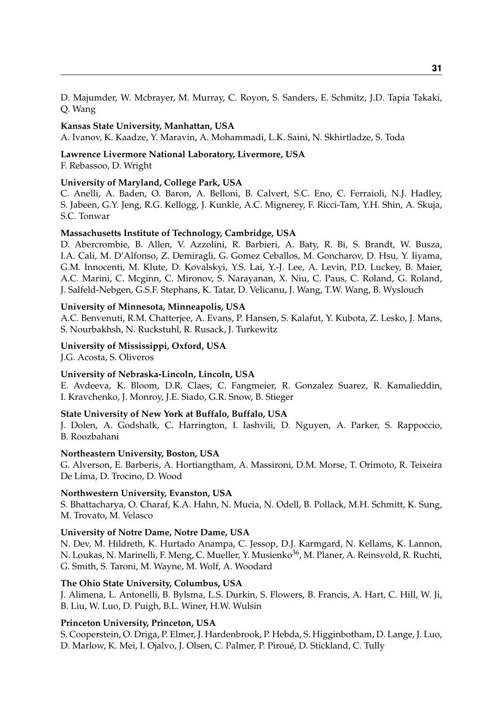D. Majumder, W. Mcbrayer, M. Murray, C. Royon, S. Sanders, E. Schmitz, J.D. Tapia Takaki, Q. Wang

#### **Kansas State University, Manhattan, USA**

A. Ivanov, K. Kaadze, Y. Maravin, A. Mohammadi, L.K. Saini, N. Skhirtladze, S. Toda

# **Lawrence Livermore National Laboratory, Livermore, USA**

F. Rebassoo, D. Wright

### **University of Maryland, College Park, USA**

C. Anelli, A. Baden, O. Baron, A. Belloni, B. Calvert, S.C. Eno, C. Ferraioli, N.J. Hadley, S. Jabeen, G.Y. Jeng, R.G. Kellogg, J. Kunkle, A.C. Mignerey, F. Ricci-Tam, Y.H. Shin, A. Skuja, S.C. Tonwar

#### **Massachusetts Institute of Technology, Cambridge, USA**

D. Abercrombie, B. Allen, V. Azzolini, R. Barbieri, A. Baty, R. Bi, S. Brandt, W. Busza, I.A. Cali, M. D'Alfonso, Z. Demiragli, G. Gomez Ceballos, M. Goncharov, D. Hsu, Y. Iiyama, G.M. Innocenti, M. Klute, D. Kovalskyi, Y.S. Lai, Y.-J. Lee, A. Levin, P.D. Luckey, B. Maier, A.C. Marini, C. Mcginn, C. Mironov, S. Narayanan, X. Niu, C. Paus, C. Roland, G. Roland, J. Salfeld-Nebgen, G.S.F. Stephans, K. Tatar, D. Velicanu, J. Wang, T.W. Wang, B. Wyslouch

#### **University of Minnesota, Minneapolis, USA**

A.C. Benvenuti, R.M. Chatterjee, A. Evans, P. Hansen, S. Kalafut, Y. Kubota, Z. Lesko, J. Mans, S. Nourbakhsh, N. Ruckstuhl, R. Rusack, J. Turkewitz

#### **University of Mississippi, Oxford, USA**

J.G. Acosta, S. Oliveros

#### **University of Nebraska-Lincoln, Lincoln, USA**

E. Avdeeva, K. Bloom, D.R. Claes, C. Fangmeier, R. Gonzalez Suarez, R. Kamalieddin, I. Kravchenko, J. Monroy, J.E. Siado, G.R. Snow, B. Stieger

# **State University of New York at Buffalo, Buffalo, USA**

J. Dolen, A. Godshalk, C. Harrington, I. Iashvili, D. Nguyen, A. Parker, S. Rappoccio, B. Roozbahani

#### **Northeastern University, Boston, USA**

G. Alverson, E. Barberis, A. Hortiangtham, A. Massironi, D.M. Morse, T. Orimoto, R. Teixeira De Lima, D. Trocino, D. Wood

#### **Northwestern University, Evanston, USA**

S. Bhattacharya, O. Charaf, K.A. Hahn, N. Mucia, N. Odell, B. Pollack, M.H. Schmitt, K. Sung, M. Trovato, M. Velasco

#### **University of Notre Dame, Notre Dame, USA**

N. Dev, M. Hildreth, K. Hurtado Anampa, C. Jessop, D.J. Karmgard, N. Kellams, K. Lannon, N. Loukas, N. Marinelli, F. Meng, C. Mueller, Y. Musienko<sup>36</sup>, M. Planer, A. Reinsvold, R. Ruchti, G. Smith, S. Taroni, M. Wayne, M. Wolf, A. Woodard

#### **The Ohio State University, Columbus, USA**

J. Alimena, L. Antonelli, B. Bylsma, L.S. Durkin, S. Flowers, B. Francis, A. Hart, C. Hill, W. Ji, B. Liu, W. Luo, D. Puigh, B.L. Winer, H.W. Wulsin

#### **Princeton University, Princeton, USA**

S. Cooperstein, O. Driga, P. Elmer, J. Hardenbrook, P. Hebda, S. Higginbotham, D. Lange, J. Luo, D. Marlow, K. Mei, I. Ojalvo, J. Olsen, C. Palmer, P. Piroué, D. Stickland, C. Tully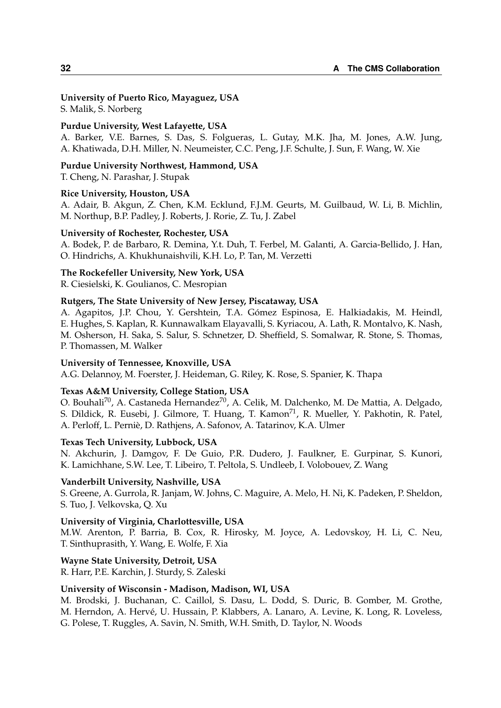# **University of Puerto Rico, Mayaguez, USA**

S. Malik, S. Norberg

### **Purdue University, West Lafayette, USA**

A. Barker, V.E. Barnes, S. Das, S. Folgueras, L. Gutay, M.K. Jha, M. Jones, A.W. Jung, A. Khatiwada, D.H. Miller, N. Neumeister, C.C. Peng, J.F. Schulte, J. Sun, F. Wang, W. Xie

### **Purdue University Northwest, Hammond, USA**

T. Cheng, N. Parashar, J. Stupak

# **Rice University, Houston, USA**

A. Adair, B. Akgun, Z. Chen, K.M. Ecklund, F.J.M. Geurts, M. Guilbaud, W. Li, B. Michlin, M. Northup, B.P. Padley, J. Roberts, J. Rorie, Z. Tu, J. Zabel

# **University of Rochester, Rochester, USA**

A. Bodek, P. de Barbaro, R. Demina, Y.t. Duh, T. Ferbel, M. Galanti, A. Garcia-Bellido, J. Han, O. Hindrichs, A. Khukhunaishvili, K.H. Lo, P. Tan, M. Verzetti

# **The Rockefeller University, New York, USA**

R. Ciesielski, K. Goulianos, C. Mesropian

# **Rutgers, The State University of New Jersey, Piscataway, USA**

A. Agapitos, J.P. Chou, Y. Gershtein, T.A. Gómez Espinosa, E. Halkiadakis, M. Heindl, E. Hughes, S. Kaplan, R. Kunnawalkam Elayavalli, S. Kyriacou, A. Lath, R. Montalvo, K. Nash, M. Osherson, H. Saka, S. Salur, S. Schnetzer, D. Sheffield, S. Somalwar, R. Stone, S. Thomas, P. Thomassen, M. Walker

#### **University of Tennessee, Knoxville, USA**

A.G. Delannoy, M. Foerster, J. Heideman, G. Riley, K. Rose, S. Spanier, K. Thapa

# **Texas A&M University, College Station, USA**

O. Bouhali<sup>70</sup>, A. Castaneda Hernandez<sup>70</sup>, A. Celik, M. Dalchenko, M. De Mattia, A. Delgado, S. Dildick, R. Eusebi, J. Gilmore, T. Huang, T. Kamon<sup>71</sup>, R. Mueller, Y. Pakhotin, R. Patel, A. Perloff, L. Pernie, D. Rathjens, A. Safonov, A. Tatarinov, K.A. Ulmer `

#### **Texas Tech University, Lubbock, USA**

N. Akchurin, J. Damgov, F. De Guio, P.R. Dudero, J. Faulkner, E. Gurpinar, S. Kunori, K. Lamichhane, S.W. Lee, T. Libeiro, T. Peltola, S. Undleeb, I. Volobouev, Z. Wang

#### **Vanderbilt University, Nashville, USA**

S. Greene, A. Gurrola, R. Janjam, W. Johns, C. Maguire, A. Melo, H. Ni, K. Padeken, P. Sheldon, S. Tuo, J. Velkovska, Q. Xu

# **University of Virginia, Charlottesville, USA**

M.W. Arenton, P. Barria, B. Cox, R. Hirosky, M. Joyce, A. Ledovskoy, H. Li, C. Neu, T. Sinthuprasith, Y. Wang, E. Wolfe, F. Xia

# **Wayne State University, Detroit, USA**

R. Harr, P.E. Karchin, J. Sturdy, S. Zaleski

#### **University of Wisconsin - Madison, Madison, WI, USA**

M. Brodski, J. Buchanan, C. Caillol, S. Dasu, L. Dodd, S. Duric, B. Gomber, M. Grothe, M. Herndon, A. Hervé, U. Hussain, P. Klabbers, A. Lanaro, A. Levine, K. Long, R. Loveless, G. Polese, T. Ruggles, A. Savin, N. Smith, W.H. Smith, D. Taylor, N. Woods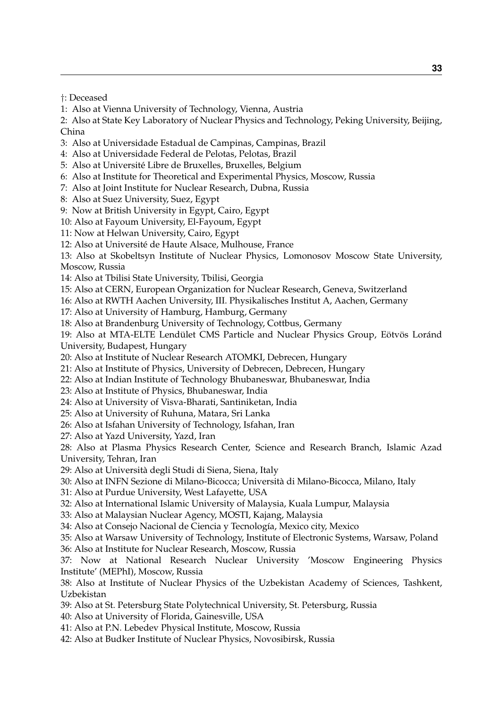†: Deceased

1: Also at Vienna University of Technology, Vienna, Austria

2: Also at State Key Laboratory of Nuclear Physics and Technology, Peking University, Beijing, China

- 3: Also at Universidade Estadual de Campinas, Campinas, Brazil
- 4: Also at Universidade Federal de Pelotas, Pelotas, Brazil
- 5: Also at Université Libre de Bruxelles, Bruxelles, Belgium
- 6: Also at Institute for Theoretical and Experimental Physics, Moscow, Russia
- 7: Also at Joint Institute for Nuclear Research, Dubna, Russia
- 8: Also at Suez University, Suez, Egypt
- 9: Now at British University in Egypt, Cairo, Egypt
- 10: Also at Fayoum University, El-Fayoum, Egypt
- 11: Now at Helwan University, Cairo, Egypt
- 12: Also at Universite de Haute Alsace, Mulhouse, France ´

13: Also at Skobeltsyn Institute of Nuclear Physics, Lomonosov Moscow State University, Moscow, Russia

- 14: Also at Tbilisi State University, Tbilisi, Georgia
- 15: Also at CERN, European Organization for Nuclear Research, Geneva, Switzerland
- 16: Also at RWTH Aachen University, III. Physikalisches Institut A, Aachen, Germany
- 17: Also at University of Hamburg, Hamburg, Germany
- 18: Also at Brandenburg University of Technology, Cottbus, Germany

19: Also at MTA-ELTE Lendület CMS Particle and Nuclear Physics Group, Eötvös Loránd University, Budapest, Hungary

- 20: Also at Institute of Nuclear Research ATOMKI, Debrecen, Hungary
- 21: Also at Institute of Physics, University of Debrecen, Debrecen, Hungary
- 22: Also at Indian Institute of Technology Bhubaneswar, Bhubaneswar, India
- 23: Also at Institute of Physics, Bhubaneswar, India
- 24: Also at University of Visva-Bharati, Santiniketan, India
- 25: Also at University of Ruhuna, Matara, Sri Lanka
- 26: Also at Isfahan University of Technology, Isfahan, Iran
- 27: Also at Yazd University, Yazd, Iran

28: Also at Plasma Physics Research Center, Science and Research Branch, Islamic Azad University, Tehran, Iran

- 29: Also at Universita degli Studi di Siena, Siena, Italy `
- 30: Also at INFN Sezione di Milano-Bicocca; Universita di Milano-Bicocca, Milano, Italy `
- 31: Also at Purdue University, West Lafayette, USA
- 32: Also at International Islamic University of Malaysia, Kuala Lumpur, Malaysia
- 33: Also at Malaysian Nuclear Agency, MOSTI, Kajang, Malaysia
- 34: Also at Consejo Nacional de Ciencia y Tecnología, Mexico city, Mexico
- 35: Also at Warsaw University of Technology, Institute of Electronic Systems, Warsaw, Poland
- 36: Also at Institute for Nuclear Research, Moscow, Russia

37: Now at National Research Nuclear University 'Moscow Engineering Physics Institute' (MEPhI), Moscow, Russia

38: Also at Institute of Nuclear Physics of the Uzbekistan Academy of Sciences, Tashkent, Uzbekistan

- 39: Also at St. Petersburg State Polytechnical University, St. Petersburg, Russia
- 40: Also at University of Florida, Gainesville, USA
- 41: Also at P.N. Lebedev Physical Institute, Moscow, Russia
- 42: Also at Budker Institute of Nuclear Physics, Novosibirsk, Russia